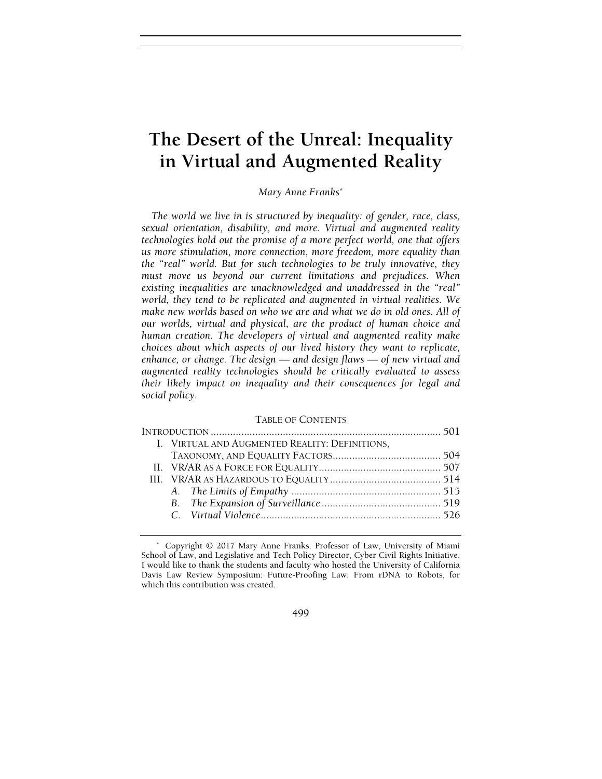# The Desert of the Unreal: Inequality in Virtual and Augmented Reality

Mary Anne Franks\*

The world we live in is structured by inequality: of gender, race, class, sexual orientation, disability, and more. Virtual and augmented reality technologies hold out the promise of a more perfect world, one that offers us more stimulation, more connection, more freedom, more equality than the "real" world. But for such technologies to be truly innovative, they must move us beyond our current limitations and prejudices. When existing inequalities are unacknowledged and unaddressed in the "real" world, they tend to be replicated and augmented in virtual realities. We make new worlds based on who we are and what we do in old ones. All of our worlds, virtual and physical, are the product of human choice and human creation. The developers of virtual and augmented reality make choices about which aspects of our lived history they want to replicate, enhance, or change. The design — and design flaws — of new virtual and augmented reality technologies should be critically evaluated to assess their likely impact on inequality and their consequences for legal and social policy.

#### TABLE OF CONTENTS

|  | I. VIRTUAL AND AUGMENTED REALITY: DEFINITIONS, |  |
|--|------------------------------------------------|--|
|  |                                                |  |
|  |                                                |  |
|  |                                                |  |
|  |                                                |  |
|  |                                                |  |
|  |                                                |  |
|  |                                                |  |

#### 499

 <sup>\*</sup> Copyright © 2017 Mary Anne Franks. Professor of Law, University of Miami School of Law, and Legislative and Tech Policy Director, Cyber Civil Rights Initiative. I would like to thank the students and faculty who hosted the University of California Davis Law Review Symposium: Future-Proofing Law: From rDNA to Robots, for which this contribution was created.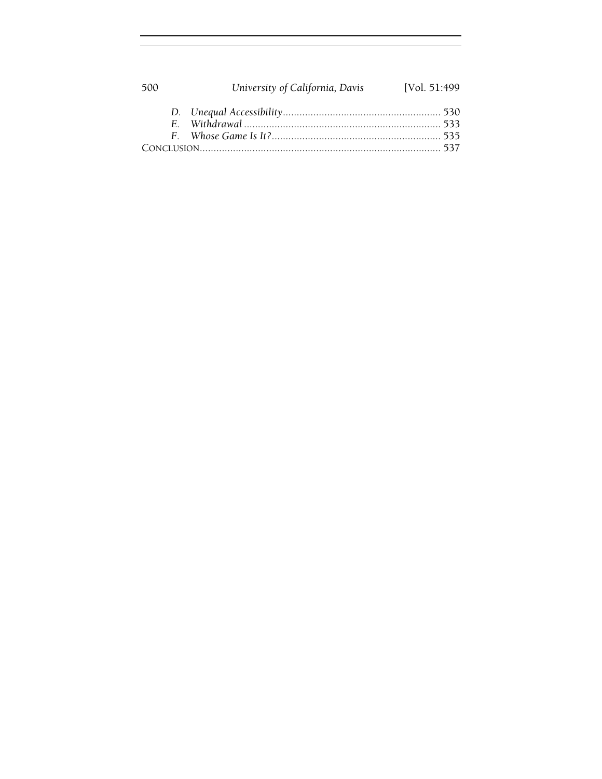| 500 | University of California, Davis | [Vol. 51:499 |
|-----|---------------------------------|--------------|
|     |                                 |              |
|     |                                 |              |
|     |                                 |              |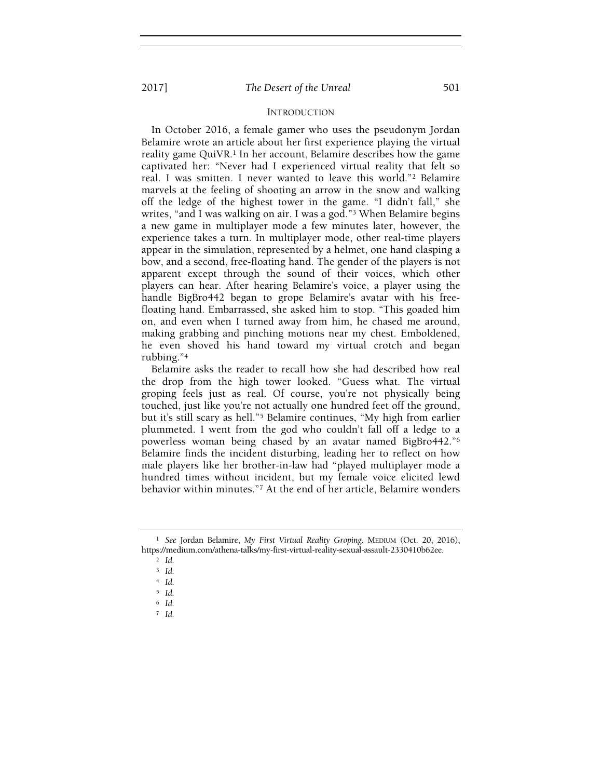# INTRODUCTION

In October 2016, a female gamer who uses the pseudonym Jordan Belamire wrote an article about her first experience playing the virtual reality game QuiVR.<sup>1</sup> In her account, Belamire describes how the game captivated her: "Never had I experienced virtual reality that felt so real. I was smitten. I never wanted to leave this world."2 Belamire marvels at the feeling of shooting an arrow in the snow and walking off the ledge of the highest tower in the game. "I didn't fall," she writes, "and I was walking on air. I was a god."3 When Belamire begins a new game in multiplayer mode a few minutes later, however, the experience takes a turn. In multiplayer mode, other real-time players appear in the simulation, represented by a helmet, one hand clasping a bow, and a second, free-floating hand. The gender of the players is not apparent except through the sound of their voices, which other players can hear. After hearing Belamire's voice, a player using the handle BigBro442 began to grope Belamire's avatar with his freefloating hand. Embarrassed, she asked him to stop. "This goaded him on, and even when I turned away from him, he chased me around, making grabbing and pinching motions near my chest. Emboldened, he even shoved his hand toward my virtual crotch and began rubbing."<sup>4</sup>

Belamire asks the reader to recall how she had described how real the drop from the high tower looked. "Guess what. The virtual groping feels just as real. Of course, you're not physically being touched, just like you're not actually one hundred feet off the ground, but it's still scary as hell."5 Belamire continues, "My high from earlier plummeted. I went from the god who couldn't fall off a ledge to a powerless woman being chased by an avatar named BigBro442."<sup>6</sup> Belamire finds the incident disturbing, leading her to reflect on how male players like her brother-in-law had "played multiplayer mode a hundred times without incident, but my female voice elicited lewd behavior within minutes."7 At the end of her article, Belamire wonders

 $2$  Id.

 $7$  Id.

<sup>&</sup>lt;sup>1</sup> See Jordan Belamire, My First Virtual Reality Groping, MEDIUM (Oct. 20, 2016), https://medium.com/athena-talks/my-first-virtual-reality-sexual-assault-2330410b62ee.

<sup>3</sup> Id.

<sup>4</sup> Id.

<sup>5</sup> Id.

 $6$  Id.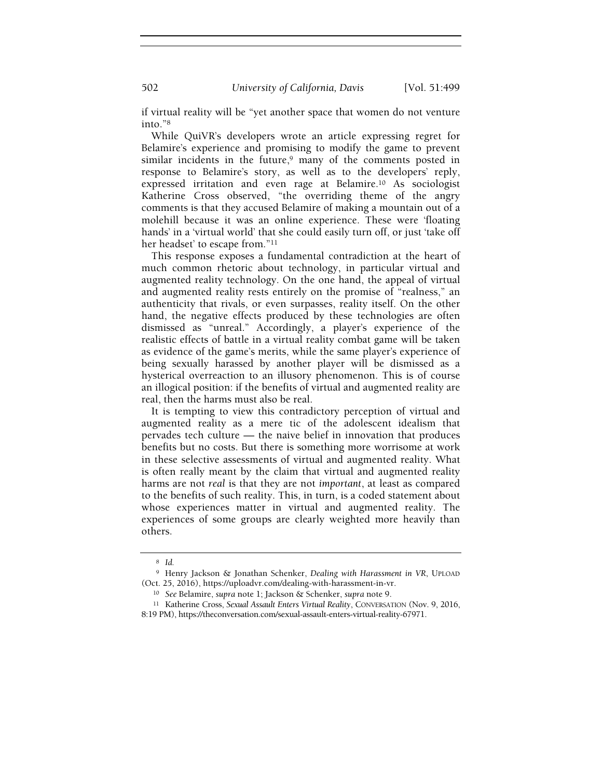if virtual reality will be "yet another space that women do not venture into."<sup>8</sup>

While QuiVR's developers wrote an article expressing regret for Belamire's experience and promising to modify the game to prevent similar incidents in the future, $9$  many of the comments posted in response to Belamire's story, as well as to the developers' reply, expressed irritation and even rage at Belamire.10 As sociologist Katherine Cross observed, "the overriding theme of the angry comments is that they accused Belamire of making a mountain out of a molehill because it was an online experience. These were 'floating hands' in a 'virtual world' that she could easily turn off, or just 'take off her headset' to escape from."<sup>11</sup>

This response exposes a fundamental contradiction at the heart of much common rhetoric about technology, in particular virtual and augmented reality technology. On the one hand, the appeal of virtual and augmented reality rests entirely on the promise of "realness," an authenticity that rivals, or even surpasses, reality itself. On the other hand, the negative effects produced by these technologies are often dismissed as "unreal." Accordingly, a player's experience of the realistic effects of battle in a virtual reality combat game will be taken as evidence of the game's merits, while the same player's experience of being sexually harassed by another player will be dismissed as a hysterical overreaction to an illusory phenomenon. This is of course an illogical position: if the benefits of virtual and augmented reality are real, then the harms must also be real.

It is tempting to view this contradictory perception of virtual and augmented reality as a mere tic of the adolescent idealism that pervades tech culture — the naive belief in innovation that produces benefits but no costs. But there is something more worrisome at work in these selective assessments of virtual and augmented reality. What is often really meant by the claim that virtual and augmented reality harms are not real is that they are not important, at least as compared to the benefits of such reality. This, in turn, is a coded statement about whose experiences matter in virtual and augmented reality. The experiences of some groups are clearly weighted more heavily than others.

<sup>8</sup> Id.

<sup>9</sup> Henry Jackson & Jonathan Schenker, Dealing with Harassment in VR, UPLOAD (Oct. 25, 2016), https://uploadvr.com/dealing-with-harassment-in-vr.

<sup>10</sup> See Belamire, supra note 1; Jackson & Schenker, supra note 9.

<sup>11</sup> Katherine Cross, Sexual Assault Enters Virtual Reality, CONVERSATION (Nov. 9, 2016, 8:19 PM), https://theconversation.com/sexual-assault-enters-virtual-reality-67971.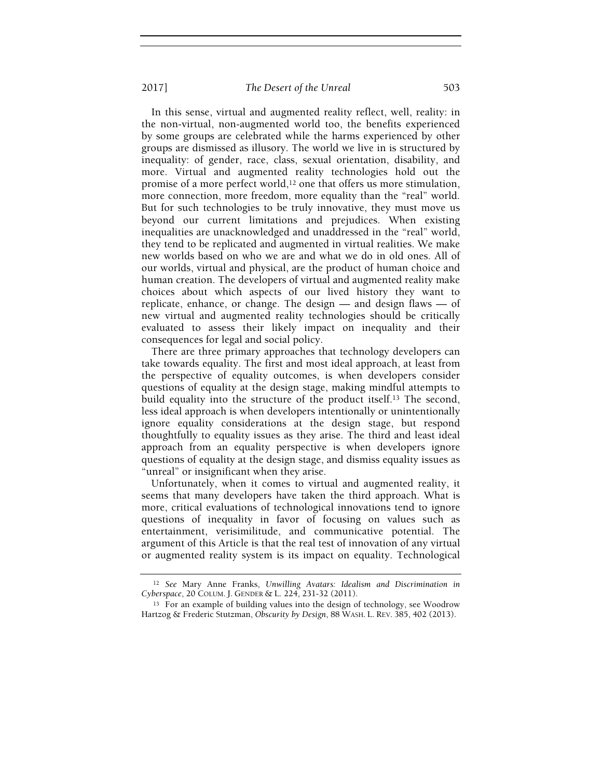In this sense, virtual and augmented reality reflect, well, reality: in the non-virtual, non-augmented world too, the benefits experienced by some groups are celebrated while the harms experienced by other groups are dismissed as illusory. The world we live in is structured by inequality: of gender, race, class, sexual orientation, disability, and more. Virtual and augmented reality technologies hold out the promise of a more perfect world,<sup>12</sup> one that offers us more stimulation, more connection, more freedom, more equality than the "real" world. But for such technologies to be truly innovative, they must move us beyond our current limitations and prejudices. When existing inequalities are unacknowledged and unaddressed in the "real" world, they tend to be replicated and augmented in virtual realities. We make new worlds based on who we are and what we do in old ones. All of our worlds, virtual and physical, are the product of human choice and human creation. The developers of virtual and augmented reality make choices about which aspects of our lived history they want to replicate, enhance, or change. The design — and design flaws — of new virtual and augmented reality technologies should be critically evaluated to assess their likely impact on inequality and their consequences for legal and social policy.

There are three primary approaches that technology developers can take towards equality. The first and most ideal approach, at least from the perspective of equality outcomes, is when developers consider questions of equality at the design stage, making mindful attempts to build equality into the structure of the product itself.13 The second, less ideal approach is when developers intentionally or unintentionally ignore equality considerations at the design stage, but respond thoughtfully to equality issues as they arise. The third and least ideal approach from an equality perspective is when developers ignore questions of equality at the design stage, and dismiss equality issues as "unreal" or insignificant when they arise.

Unfortunately, when it comes to virtual and augmented reality, it seems that many developers have taken the third approach. What is more, critical evaluations of technological innovations tend to ignore questions of inequality in favor of focusing on values such as entertainment, verisimilitude, and communicative potential. The argument of this Article is that the real test of innovation of any virtual or augmented reality system is its impact on equality. Technological

<sup>12</sup> See Mary Anne Franks, Unwilling Avatars: Idealism and Discrimination in Cyberspace, 20 COLUM. J. GENDER & L. 224, 231-32 (2011).

<sup>13</sup> For an example of building values into the design of technology, see Woodrow Hartzog & Frederic Stutzman, Obscurity by Design, 88 WASH. L. REV. 385, 402 (2013).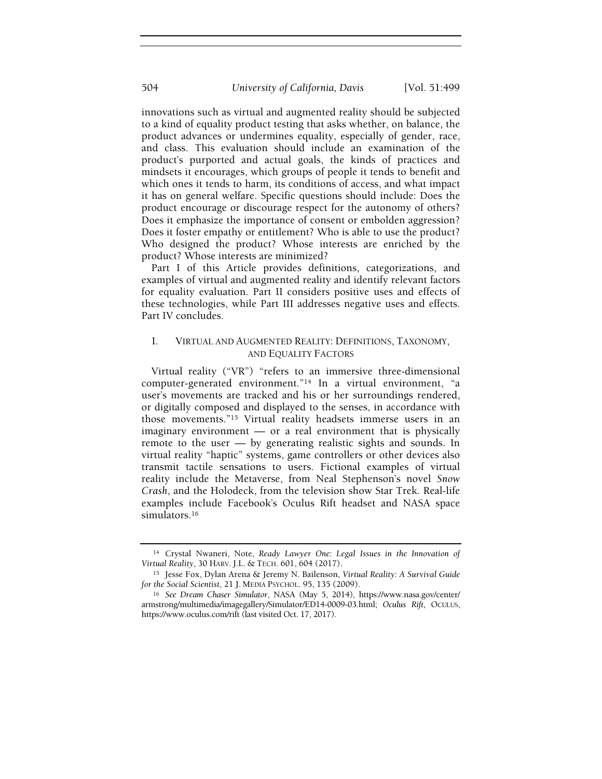innovations such as virtual and augmented reality should be subjected to a kind of equality product testing that asks whether, on balance, the product advances or undermines equality, especially of gender, race, and class. This evaluation should include an examination of the product's purported and actual goals, the kinds of practices and mindsets it encourages, which groups of people it tends to benefit and which ones it tends to harm, its conditions of access, and what impact it has on general welfare. Specific questions should include: Does the product encourage or discourage respect for the autonomy of others? Does it emphasize the importance of consent or embolden aggression? Does it foster empathy or entitlement? Who is able to use the product? Who designed the product? Whose interests are enriched by the product? Whose interests are minimized?

Part I of this Article provides definitions, categorizations, and examples of virtual and augmented reality and identify relevant factors for equality evaluation. Part II considers positive uses and effects of these technologies, while Part III addresses negative uses and effects. Part IV concludes.

# I. VIRTUAL AND AUGMENTED REALITY: DEFINITIONS, TAXONOMY, AND EQUALITY FACTORS

Virtual reality ("VR") "refers to an immersive three-dimensional computer-generated environment."14 In a virtual environment, "a user's movements are tracked and his or her surroundings rendered, or digitally composed and displayed to the senses, in accordance with those movements."15 Virtual reality headsets immerse users in an imaginary environment — or a real environment that is physically remote to the user — by generating realistic sights and sounds. In virtual reality "haptic" systems, game controllers or other devices also transmit tactile sensations to users. Fictional examples of virtual reality include the Metaverse, from Neal Stephenson's novel Snow Crash, and the Holodeck, from the television show Star Trek. Real-life examples include Facebook's Oculus Rift headset and NASA space simulators.<sup>16</sup>

<sup>14</sup> Crystal Nwaneri, Note, Ready Lawyer One: Legal Issues in the Innovation of Virtual Reality, 30 HARV. J.L. & TECH. 601, 604 (2017).

<sup>15</sup> Jesse Fox, Dylan Arena & Jeremy N. Bailenson, Virtual Reality: A Survival Guide for the Social Scientist, 21 J. MEDIA PSYCHOL. 95, 135 (2009).

<sup>16</sup> See Dream Chaser Simulator, NASA (May 5, 2014), https://www.nasa.gov/center/ armstrong/multimedia/imagegallery/Simulator/ED14-0009-03.html; Oculus Rift, OCULUS, https://www.oculus.com/rift (last visited Oct. 17, 2017).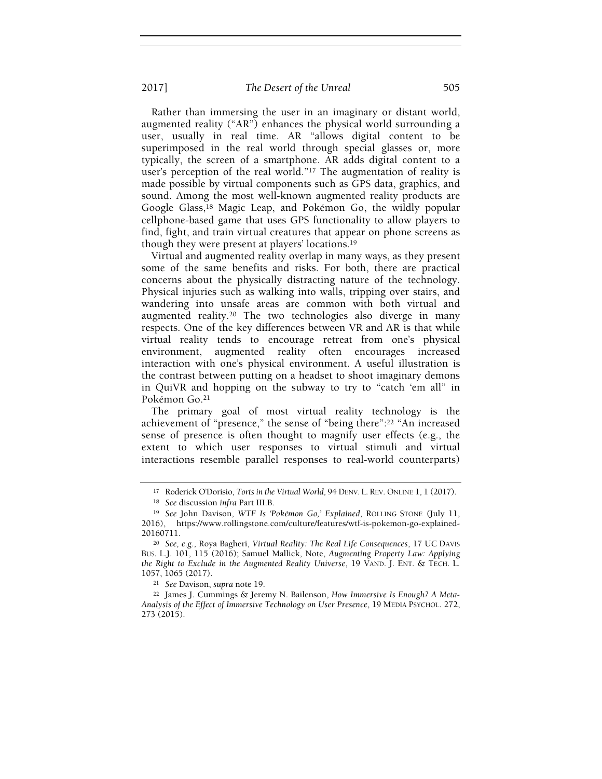Rather than immersing the user in an imaginary or distant world, augmented reality ("AR") enhances the physical world surrounding a user, usually in real time. AR "allows digital content to be superimposed in the real world through special glasses or, more typically, the screen of a smartphone. AR adds digital content to a user's perception of the real world."<sup>17</sup> The augmentation of reality is made possible by virtual components such as GPS data, graphics, and sound. Among the most well-known augmented reality products are Google Glass,18 Magic Leap, and Pokémon Go, the wildly popular cellphone-based game that uses GPS functionality to allow players to find, fight, and train virtual creatures that appear on phone screens as though they were present at players' locations.<sup>19</sup>

Virtual and augmented reality overlap in many ways, as they present some of the same benefits and risks. For both, there are practical concerns about the physically distracting nature of the technology. Physical injuries such as walking into walls, tripping over stairs, and wandering into unsafe areas are common with both virtual and augmented reality.20 The two technologies also diverge in many respects. One of the key differences between VR and AR is that while virtual reality tends to encourage retreat from one's physical environment, augmented reality often encourages increased interaction with one's physical environment. A useful illustration is the contrast between putting on a headset to shoot imaginary demons in QuiVR and hopping on the subway to try to "catch 'em all" in Pokémon Go.<sup>21</sup>

The primary goal of most virtual reality technology is the achievement of "presence," the sense of "being there":22 "An increased sense of presence is often thought to magnify user effects (e.g., the extent to which user responses to virtual stimuli and virtual interactions resemble parallel responses to real-world counterparts)

<sup>21</sup> See Davison, supra note 19.

<sup>&</sup>lt;sup>17</sup> Roderick O'Dorisio, Torts in the Virtual World, 94 DENV. L. REV. ONLINE 1, 1 (2017).

<sup>18</sup> See discussion infra Part III.B.

<sup>&</sup>lt;sup>19</sup> See John Davison, WTF Is 'Pokémon Go,' Explained, ROLLING STONE (July 11, 2016), https://www.rollingstone.com/culture/features/wtf-is-pokemon-go-explained-20160711.

<sup>20</sup> See, e.g., Roya Bagheri, Virtual Reality: The Real Life Consequences, 17 UC DAVIS BUS. L.J. 101, 115 (2016); Samuel Mallick, Note, Augmenting Property Law: Applying the Right to Exclude in the Augmented Reality Universe, 19 VAND. J. ENT. & TECH. L. 1057, 1065 (2017).

<sup>22</sup> James J. Cummings & Jeremy N. Bailenson, How Immersive Is Enough? A Meta-Analysis of the Effect of Immersive Technology on User Presence, 19 MEDIA PSYCHOL. 272, 273 (2015).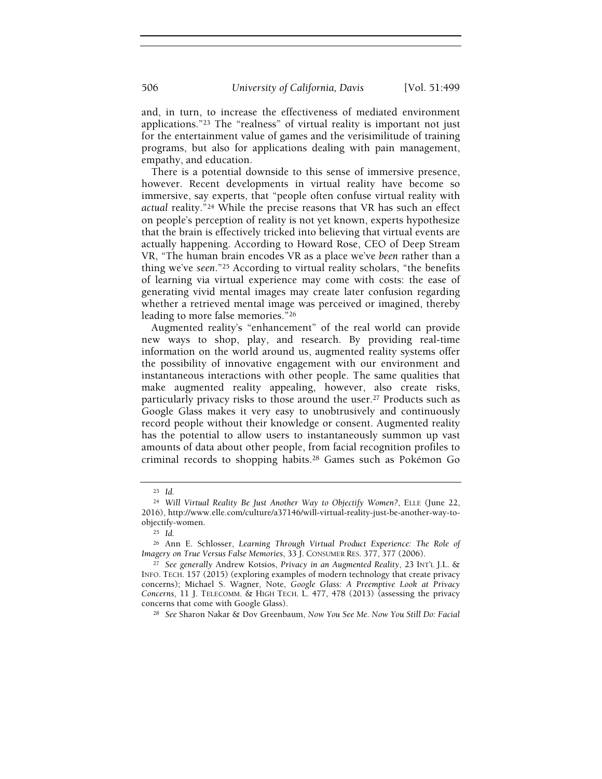and, in turn, to increase the effectiveness of mediated environment applications."23 The "realness" of virtual reality is important not just for the entertainment value of games and the verisimilitude of training programs, but also for applications dealing with pain management, empathy, and education.

There is a potential downside to this sense of immersive presence, however. Recent developments in virtual reality have become so immersive, say experts, that "people often confuse virtual reality with actual reality."24 While the precise reasons that VR has such an effect on people's perception of reality is not yet known, experts hypothesize that the brain is effectively tricked into believing that virtual events are actually happening. According to Howard Rose, CEO of Deep Stream VR, "The human brain encodes VR as a place we've been rather than a thing we've seen."25 According to virtual reality scholars, "the benefits of learning via virtual experience may come with costs: the ease of generating vivid mental images may create later confusion regarding whether a retrieved mental image was perceived or imagined, thereby leading to more false memories."<sup>26</sup>

Augmented reality's "enhancement" of the real world can provide new ways to shop, play, and research. By providing real-time information on the world around us, augmented reality systems offer the possibility of innovative engagement with our environment and instantaneous interactions with other people. The same qualities that make augmented reality appealing, however, also create risks, particularly privacy risks to those around the user.27 Products such as Google Glass makes it very easy to unobtrusively and continuously record people without their knowledge or consent. Augmented reality has the potential to allow users to instantaneously summon up vast amounts of data about other people, from facial recognition profiles to criminal records to shopping habits.28 Games such as Pokémon Go

<sup>23</sup> Id.

<sup>24</sup> Will Virtual Reality Be Just Another Way to Objectify Women?, ELLE (June 22, 2016), http://www.elle.com/culture/a37146/will-virtual-reality-just-be-another-way-toobjectify-women.

<sup>25</sup> Id.

<sup>26</sup> Ann E. Schlosser, Learning Through Virtual Product Experience: The Role of Imagery on True Versus False Memories, 33 J. CONSUMER RES. 377, 377 (2006).

<sup>&</sup>lt;sup>27</sup> See generally Andrew Kotsios, Privacy in an Augmented Reality, 23 INT'L J.L. & INFO. TECH. 157 (2015) (exploring examples of modern technology that create privacy concerns); Michael S. Wagner, Note, Google Glass: A Preemptive Look at Privacy Concerns, 11 J. TELECOMM. & HIGH TECH. L. 477, 478 (2013) (assessing the privacy concerns that come with Google Glass).

<sup>28</sup> See Sharon Nakar & Dov Greenbaum, Now You See Me. Now You Still Do: Facial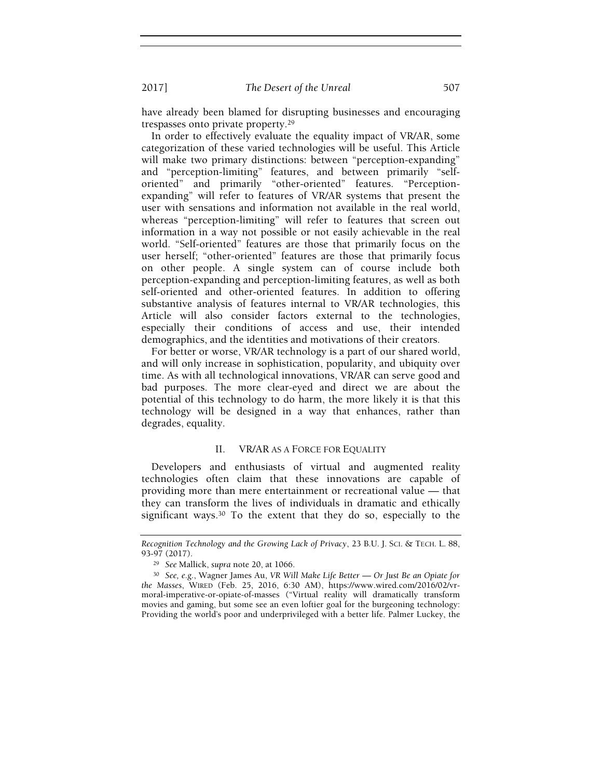have already been blamed for disrupting businesses and encouraging trespasses onto private property.<sup>29</sup>

In order to effectively evaluate the equality impact of VR/AR, some categorization of these varied technologies will be useful. This Article will make two primary distinctions: between "perception-expanding" and "perception-limiting" features, and between primarily "selforiented" and primarily "other-oriented" features. "Perceptionexpanding" will refer to features of VR/AR systems that present the user with sensations and information not available in the real world, whereas "perception-limiting" will refer to features that screen out information in a way not possible or not easily achievable in the real world. "Self-oriented" features are those that primarily focus on the user herself; "other-oriented" features are those that primarily focus on other people. A single system can of course include both perception-expanding and perception-limiting features, as well as both self-oriented and other-oriented features. In addition to offering substantive analysis of features internal to VR/AR technologies, this Article will also consider factors external to the technologies, especially their conditions of access and use, their intended demographics, and the identities and motivations of their creators.

For better or worse, VR/AR technology is a part of our shared world, and will only increase in sophistication, popularity, and ubiquity over time. As with all technological innovations, VR/AR can serve good and bad purposes. The more clear-eyed and direct we are about the potential of this technology to do harm, the more likely it is that this technology will be designed in a way that enhances, rather than degrades, equality.

# II. VR/AR AS A FORCE FOR EQUALITY

Developers and enthusiasts of virtual and augmented reality technologies often claim that these innovations are capable of providing more than mere entertainment or recreational value — that they can transform the lives of individuals in dramatic and ethically significant ways.<sup>30</sup> To the extent that they do so, especially to the

Recognition Technology and the Growing Lack of Privacy, 23 B.U. J. SCI. & TECH. L. 88, 93-97 (2017).

<sup>29</sup> See Mallick, supra note 20, at 1066.

<sup>30</sup> See, e.g., Wagner James Au, VR Will Make Life Better — Or Just Be an Opiate for the Masses, WIRED (Feb. 25, 2016, 6:30 AM), https://www.wired.com/2016/02/vrmoral-imperative-or-opiate-of-masses ("Virtual reality will dramatically transform movies and gaming, but some see an even loftier goal for the burgeoning technology: Providing the world's poor and underprivileged with a better life. Palmer Luckey, the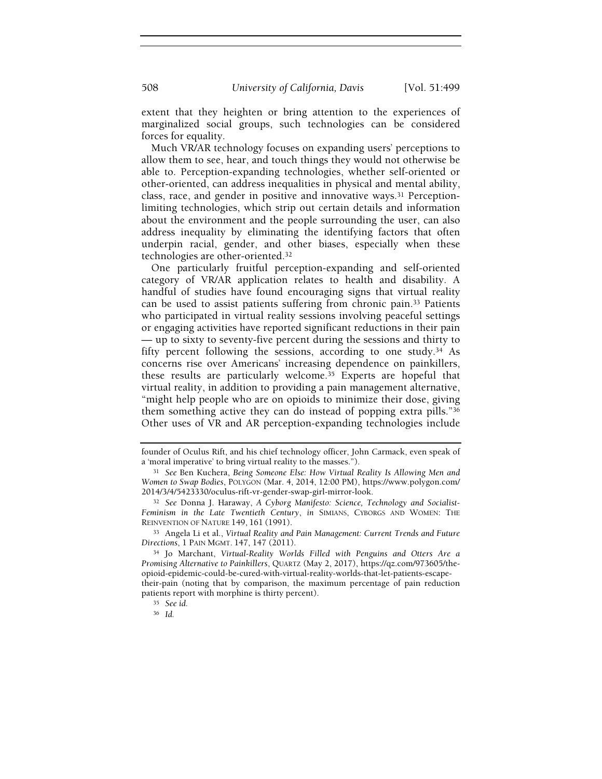extent that they heighten or bring attention to the experiences of marginalized social groups, such technologies can be considered forces for equality.

Much VR/AR technology focuses on expanding users' perceptions to allow them to see, hear, and touch things they would not otherwise be able to. Perception-expanding technologies, whether self-oriented or other-oriented, can address inequalities in physical and mental ability, class, race, and gender in positive and innovative ways.31 Perceptionlimiting technologies, which strip out certain details and information about the environment and the people surrounding the user, can also address inequality by eliminating the identifying factors that often underpin racial, gender, and other biases, especially when these technologies are other-oriented.<sup>32</sup>

One particularly fruitful perception-expanding and self-oriented category of VR/AR application relates to health and disability. A handful of studies have found encouraging signs that virtual reality can be used to assist patients suffering from chronic pain.33 Patients who participated in virtual reality sessions involving peaceful settings or engaging activities have reported significant reductions in their pain — up to sixty to seventy-five percent during the sessions and thirty to fifty percent following the sessions, according to one study.34 As concerns rise over Americans' increasing dependence on painkillers, these results are particularly welcome.35 Experts are hopeful that virtual reality, in addition to providing a pain management alternative, "might help people who are on opioids to minimize their dose, giving them something active they can do instead of popping extra pills."<sup>36</sup> Other uses of VR and AR perception-expanding technologies include

<sup>33</sup> Angela Li et al., Virtual Reality and Pain Management: Current Trends and Future Directions, 1 PAIN MGMT. 147, 147 (2011).

their-pain (noting that by comparison, the maximum percentage of pain reduction patients report with morphine is thirty percent).

founder of Oculus Rift, and his chief technology officer, John Carmack, even speak of a 'moral imperative' to bring virtual reality to the masses.").

<sup>&</sup>lt;sup>31</sup> See Ben Kuchera, Being Someone Else: How Virtual Reality Is Allowing Men and Women to Swap Bodies, POLYGON (Mar. 4, 2014, 12:00 PM), https://www.polygon.com/ 2014/3/4/5423330/oculus-rift-vr-gender-swap-girl-mirror-look.

<sup>32</sup> See Donna J. Haraway, A Cyborg Manifesto: Science, Technology and Socialist-Feminism in the Late Twentieth Century, in SIMIANS, CYBORGS AND WOMEN: THE REINVENTION OF NATURE 149, 161 (1991).

<sup>34</sup> Jo Marchant, Virtual-Reality Worlds Filled with Penguins and Otters Are a Promising Alternative to Painkillers, QUARTZ (May 2, 2017), https://qz.com/973605/theopioid-epidemic-could-be-cured-with-virtual-reality-worlds-that-let-patients-escape-

<sup>35</sup> See id.

<sup>36</sup> Id.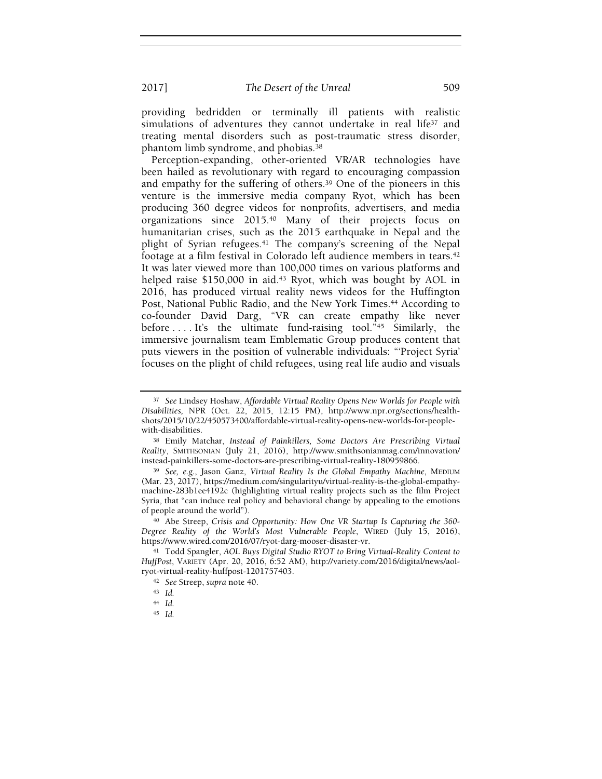providing bedridden or terminally ill patients with realistic simulations of adventures they cannot undertake in real life<sup>37</sup> and treating mental disorders such as post-traumatic stress disorder, phantom limb syndrome, and phobias.<sup>38</sup>

Perception-expanding, other-oriented VR/AR technologies have been hailed as revolutionary with regard to encouraging compassion and empathy for the suffering of others.<sup>39</sup> One of the pioneers in this venture is the immersive media company Ryot, which has been producing 360 degree videos for nonprofits, advertisers, and media organizations since 2015.40 Many of their projects focus on humanitarian crises, such as the 2015 earthquake in Nepal and the plight of Syrian refugees.41 The company's screening of the Nepal footage at a film festival in Colorado left audience members in tears.<sup>42</sup> It was later viewed more than 100,000 times on various platforms and helped raise \$150,000 in aid.<sup>43</sup> Ryot, which was bought by AOL in 2016, has produced virtual reality news videos for the Huffington Post, National Public Radio, and the New York Times.<sup>44</sup> According to co-founder David Darg, "VR can create empathy like never before . . . . It's the ultimate fund-raising tool."45 Similarly, the immersive journalism team Emblematic Group produces content that puts viewers in the position of vulnerable individuals: "'Project Syria' focuses on the plight of child refugees, using real life audio and visuals

<sup>45</sup> Id.

<sup>&</sup>lt;sup>37</sup> See Lindsey Hoshaw, Affordable Virtual Reality Opens New Worlds for People with Disabilities, NPR (Oct. 22, 2015, 12:15 PM), http://www.npr.org/sections/healthshots/2015/10/22/450573400/affordable-virtual-reality-opens-new-worlds-for-peoplewith-disabilities.

<sup>38</sup> Emily Matchar, Instead of Painkillers, Some Doctors Are Prescribing Virtual Reality, SMITHSONIAN (July 21, 2016), http://www.smithsonianmag.com/innovation/ instead-painkillers-some-doctors-are-prescribing-virtual-reality-180959866.

<sup>39</sup> See, e.g., Jason Ganz, Virtual Reality Is the Global Empathy Machine, MEDIUM (Mar. 23, 2017), https://medium.com/singularityu/virtual-reality-is-the-global-empathymachine-283b1ee4192c (highlighting virtual reality projects such as the film Project Syria, that "can induce real policy and behavioral change by appealing to the emotions of people around the world").

<sup>40</sup> Abe Streep, Crisis and Opportunity: How One VR Startup Is Capturing the 360- Degree Reality of the World's Most Vulnerable People, WIRED (July 15, 2016), https://www.wired.com/2016/07/ryot-darg-mooser-disaster-vr.

<sup>41</sup> Todd Spangler, AOL Buys Digital Studio RYOT to Bring Virtual-Reality Content to HuffPost, VARIETY (Apr. 20, 2016, 6:52 AM), http://variety.com/2016/digital/news/aolryot-virtual-reality-huffpost-1201757403.

<sup>42</sup> See Streep, supra note 40.

<sup>43</sup> Id.

<sup>44</sup> Id.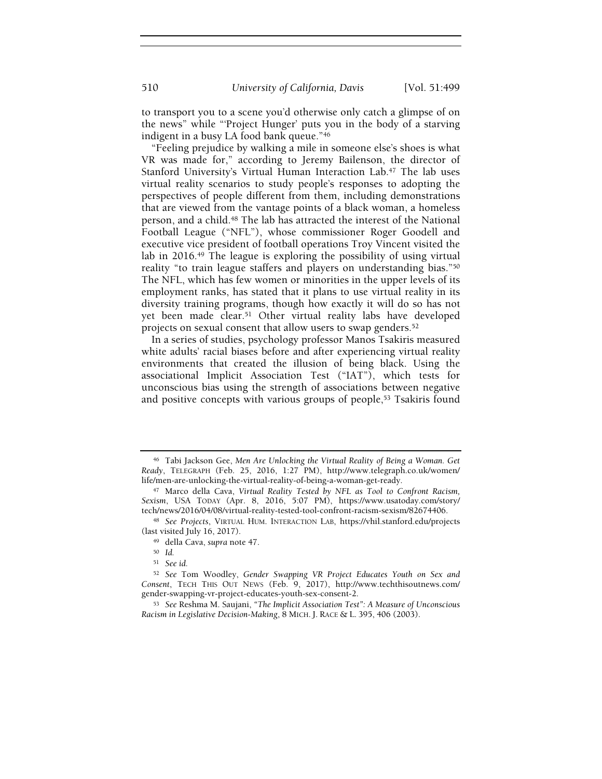to transport you to a scene you'd otherwise only catch a glimpse of on the news" while "'Project Hunger' puts you in the body of a starving indigent in a busy LA food bank queue."<sup>46</sup>

"Feeling prejudice by walking a mile in someone else's shoes is what VR was made for," according to Jeremy Bailenson, the director of Stanford University's Virtual Human Interaction Lab.47 The lab uses virtual reality scenarios to study people's responses to adopting the perspectives of people different from them, including demonstrations that are viewed from the vantage points of a black woman, a homeless person, and a child.48 The lab has attracted the interest of the National Football League ("NFL"), whose commissioner Roger Goodell and executive vice president of football operations Troy Vincent visited the lab in 2016.<sup>49</sup> The league is exploring the possibility of using virtual reality "to train league staffers and players on understanding bias."<sup>50</sup> The NFL, which has few women or minorities in the upper levels of its employment ranks, has stated that it plans to use virtual reality in its diversity training programs, though how exactly it will do so has not yet been made clear.51 Other virtual reality labs have developed projects on sexual consent that allow users to swap genders.<sup>52</sup>

In a series of studies, psychology professor Manos Tsakiris measured white adults' racial biases before and after experiencing virtual reality environments that created the illusion of being black. Using the associational Implicit Association Test ("IAT"), which tests for unconscious bias using the strength of associations between negative and positive concepts with various groups of people,<sup>53</sup> Tsakiris found

<sup>46</sup> Tabi Jackson Gee, Men Are Unlocking the Virtual Reality of Being a Woman. Get Ready, TELEGRAPH (Feb. 25, 2016, 1:27 PM), http://www.telegraph.co.uk/women/ life/men-are-unlocking-the-virtual-reality-of-being-a-woman-get-ready.

<sup>47</sup> Marco della Cava, Virtual Reality Tested by NFL as Tool to Confront Racism, Sexism, USA TODAY (Apr. 8, 2016, 5:07 PM), https://www.usatoday.com/story/ tech/news/2016/04/08/virtual-reality-tested-tool-confront-racism-sexism/82674406.

<sup>48</sup> See Projects, VIRTUAL HUM. INTERACTION LAB, https://vhil.stanford.edu/projects (last visited July 16, 2017).

<sup>49</sup> della Cava, supra note 47.

<sup>50</sup> Id.

<sup>51</sup> See id.

<sup>52</sup> See Tom Woodley, Gender Swapping VR Project Educates Youth on Sex and Consent, TECH THIS OUT NEWS (Feb. 9, 2017), http://www.techthisoutnews.com/ gender-swapping-vr-project-educates-youth-sex-consent-2.

<sup>53</sup> See Reshma M. Saujani, "The Implicit Association Test": A Measure of Unconscious Racism in Legislative Decision-Making, 8 MICH. J. RACE & L. 395, 406 (2003).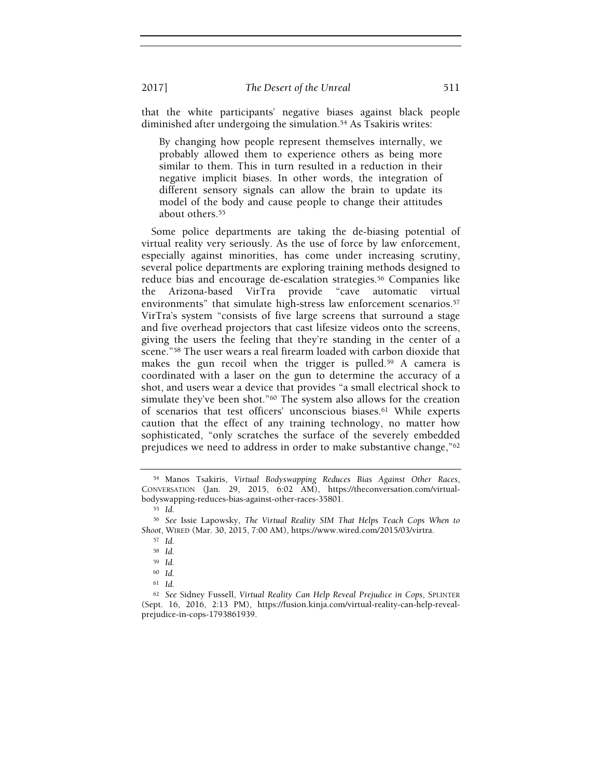that the white participants' negative biases against black people diminished after undergoing the simulation.<sup>54</sup> As Tsakiris writes:

By changing how people represent themselves internally, we probably allowed them to experience others as being more similar to them. This in turn resulted in a reduction in their negative implicit biases. In other words, the integration of different sensory signals can allow the brain to update its model of the body and cause people to change their attitudes about others.<sup>55</sup>

Some police departments are taking the de-biasing potential of virtual reality very seriously. As the use of force by law enforcement, especially against minorities, has come under increasing scrutiny, several police departments are exploring training methods designed to reduce bias and encourage de-escalation strategies.56 Companies like the Arizona-based VirTra provide "cave automatic virtual environments" that simulate high-stress law enforcement scenarios.<sup>57</sup> VirTra's system "consists of five large screens that surround a stage and five overhead projectors that cast lifesize videos onto the screens, giving the users the feeling that they're standing in the center of a scene."58 The user wears a real firearm loaded with carbon dioxide that makes the gun recoil when the trigger is pulled.<sup>59</sup> A camera is coordinated with a laser on the gun to determine the accuracy of a shot, and users wear a device that provides "a small electrical shock to simulate they've been shot."60 The system also allows for the creation of scenarios that test officers' unconscious biases.<sup>61</sup> While experts caution that the effect of any training technology, no matter how sophisticated, "only scratches the surface of the severely embedded prejudices we need to address in order to make substantive change,"<sup>62</sup>

<sup>54</sup> Manos Tsakiris, Virtual Bodyswapping Reduces Bias Against Other Races, CONVERSATION (Jan. 29, 2015, 6:02 AM), https://theconversation.com/virtualbodyswapping-reduces-bias-against-other-races-35801.

<sup>55</sup> Id.

<sup>56</sup> See Issie Lapowsky, The Virtual Reality SIM That Helps Teach Cops When to Shoot, WIRED (Mar. 30, 2015, 7:00 AM), https://www.wired.com/2015/03/virtra.

<sup>57</sup> Id.

<sup>58</sup> Id.

<sup>59</sup> Id.

<sup>60</sup> Id.

<sup>61</sup> Id.

<sup>62</sup> See Sidney Fussell, Virtual Reality Can Help Reveal Prejudice in Cops, SPLINTER (Sept. 16, 2016, 2:13 PM), https://fusion.kinja.com/virtual-reality-can-help-revealprejudice-in-cops-1793861939.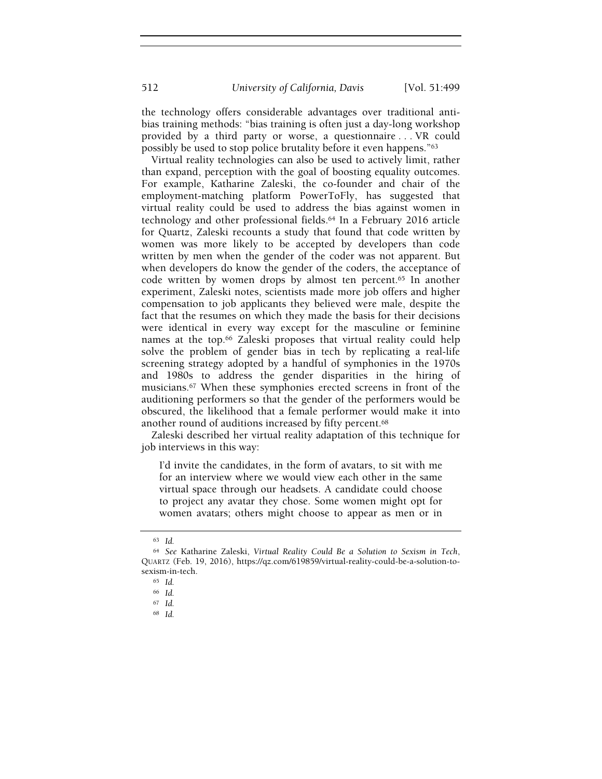512 University of California, Davis [Vol. 51:499

the technology offers considerable advantages over traditional antibias training methods: "bias training is often just a day-long workshop provided by a third party or worse, a questionnaire . . . VR could possibly be used to stop police brutality before it even happens."<sup>63</sup>

Virtual reality technologies can also be used to actively limit, rather than expand, perception with the goal of boosting equality outcomes. For example, Katharine Zaleski, the co-founder and chair of the employment-matching platform PowerToFly, has suggested that virtual reality could be used to address the bias against women in technology and other professional fields.64 In a February 2016 article for Quartz, Zaleski recounts a study that found that code written by women was more likely to be accepted by developers than code written by men when the gender of the coder was not apparent. But when developers do know the gender of the coders, the acceptance of code written by women drops by almost ten percent.<sup>65</sup> In another experiment, Zaleski notes, scientists made more job offers and higher compensation to job applicants they believed were male, despite the fact that the resumes on which they made the basis for their decisions were identical in every way except for the masculine or feminine names at the top.<sup>66</sup> Zaleski proposes that virtual reality could help solve the problem of gender bias in tech by replicating a real-life screening strategy adopted by a handful of symphonies in the 1970s and 1980s to address the gender disparities in the hiring of musicians.67 When these symphonies erected screens in front of the auditioning performers so that the gender of the performers would be obscured, the likelihood that a female performer would make it into another round of auditions increased by fifty percent.<sup>68</sup>

Zaleski described her virtual reality adaptation of this technique for job interviews in this way:

I'd invite the candidates, in the form of avatars, to sit with me for an interview where we would view each other in the same virtual space through our headsets. A candidate could choose to project any avatar they chose. Some women might opt for women avatars; others might choose to appear as men or in

<sup>63</sup> Id.

<sup>64</sup> See Katharine Zaleski, Virtual Reality Could Be a Solution to Sexism in Tech, QUARTZ (Feb. 19, 2016), https://qz.com/619859/virtual-reality-could-be-a-solution-tosexism-in-tech.

<sup>65</sup> Id.

<sup>66</sup> Id.

<sup>67</sup> Id.

<sup>68</sup> Id.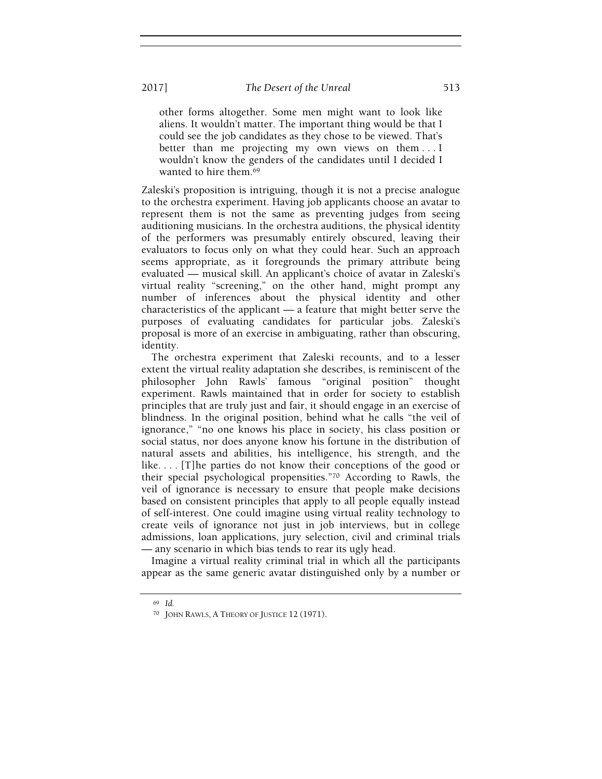other forms altogether. Some men might want to look like aliens. It wouldn't matter. The important thing would be that I could see the job candidates as they chose to be viewed. That's better than me projecting my own views on them . . . I wouldn't know the genders of the candidates until I decided I wanted to hire them.<sup>69</sup>

Zaleski's proposition is intriguing, though it is not a precise analogue to the orchestra experiment. Having job applicants choose an avatar to represent them is not the same as preventing judges from seeing auditioning musicians. In the orchestra auditions, the physical identity of the performers was presumably entirely obscured, leaving their evaluators to focus only on what they could hear. Such an approach seems appropriate, as it foregrounds the primary attribute being evaluated — musical skill. An applicant's choice of avatar in Zaleski's virtual reality "screening," on the other hand, might prompt any number of inferences about the physical identity and other characteristics of the applicant — a feature that might better serve the purposes of evaluating candidates for particular jobs. Zaleski's proposal is more of an exercise in ambiguating, rather than obscuring, identity.

The orchestra experiment that Zaleski recounts, and to a lesser extent the virtual reality adaptation she describes, is reminiscent of the philosopher John Rawls' famous "original position" thought experiment. Rawls maintained that in order for society to establish principles that are truly just and fair, it should engage in an exercise of blindness. In the original position, behind what he calls "the veil of ignorance," "no one knows his place in society, his class position or social status, nor does anyone know his fortune in the distribution of natural assets and abilities, his intelligence, his strength, and the like. . . . [T]he parties do not know their conceptions of the good or their special psychological propensities."70 According to Rawls, the veil of ignorance is necessary to ensure that people make decisions based on consistent principles that apply to all people equally instead of self-interest. One could imagine using virtual reality technology to create veils of ignorance not just in job interviews, but in college admissions, loan applications, jury selection, civil and criminal trials — any scenario in which bias tends to rear its ugly head.

Imagine a virtual reality criminal trial in which all the participants appear as the same generic avatar distinguished only by a number or

<sup>69</sup> Id.

<sup>70</sup> JOHN RAWLS, A THEORY OF JUSTICE 12 (1971).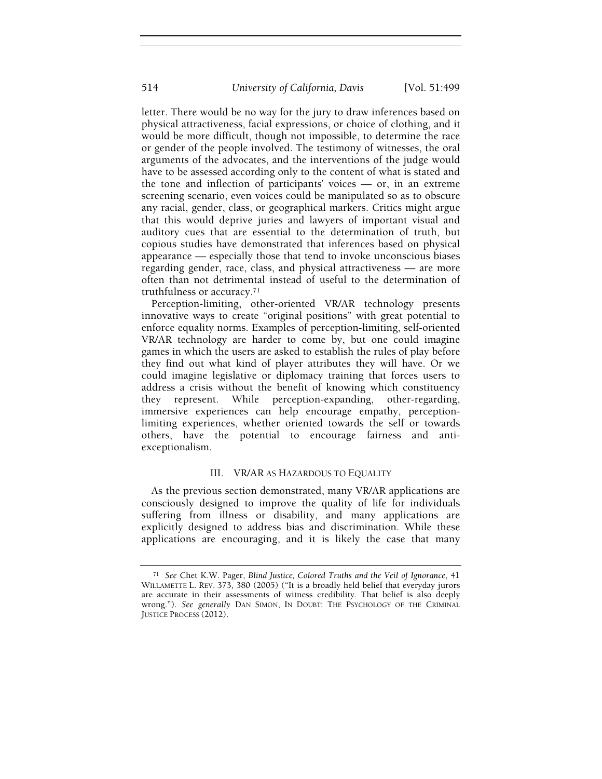letter. There would be no way for the jury to draw inferences based on physical attractiveness, facial expressions, or choice of clothing, and it would be more difficult, though not impossible, to determine the race or gender of the people involved. The testimony of witnesses, the oral arguments of the advocates, and the interventions of the judge would have to be assessed according only to the content of what is stated and the tone and inflection of participants' voices — or, in an extreme screening scenario, even voices could be manipulated so as to obscure any racial, gender, class, or geographical markers. Critics might argue that this would deprive juries and lawyers of important visual and auditory cues that are essential to the determination of truth, but copious studies have demonstrated that inferences based on physical appearance — especially those that tend to invoke unconscious biases regarding gender, race, class, and physical attractiveness — are more often than not detrimental instead of useful to the determination of truthfulness or accuracy.<sup>71</sup>

Perception-limiting, other-oriented VR/AR technology presents innovative ways to create "original positions" with great potential to enforce equality norms. Examples of perception-limiting, self-oriented VR/AR technology are harder to come by, but one could imagine games in which the users are asked to establish the rules of play before they find out what kind of player attributes they will have. Or we could imagine legislative or diplomacy training that forces users to address a crisis without the benefit of knowing which constituency they represent. While perception-expanding, other-regarding, immersive experiences can help encourage empathy, perceptionlimiting experiences, whether oriented towards the self or towards others, have the potential to encourage fairness and antiexceptionalism.

## III. VR/AR AS HAZARDOUS TO EQUALITY

As the previous section demonstrated, many VR/AR applications are consciously designed to improve the quality of life for individuals suffering from illness or disability, and many applications are explicitly designed to address bias and discrimination. While these applications are encouraging, and it is likely the case that many

<sup>71</sup> See Chet K.W. Pager, Blind Justice, Colored Truths and the Veil of Ignorance, 41 WILLAMETTE L. REV. 373, 380 (2005) ("It is a broadly held belief that everyday jurors are accurate in their assessments of witness credibility. That belief is also deeply wrong."). See generally DAN SIMON, IN DOUBT: THE PSYCHOLOGY OF THE CRIMINAL JUSTICE PROCESS (2012).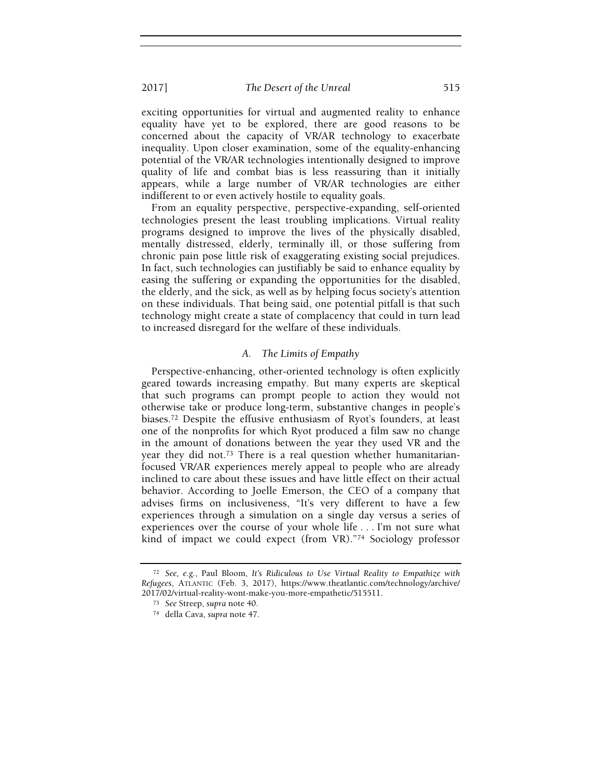exciting opportunities for virtual and augmented reality to enhance equality have yet to be explored, there are good reasons to be concerned about the capacity of VR/AR technology to exacerbate inequality. Upon closer examination, some of the equality-enhancing potential of the VR/AR technologies intentionally designed to improve quality of life and combat bias is less reassuring than it initially appears, while a large number of VR/AR technologies are either indifferent to or even actively hostile to equality goals.

From an equality perspective, perspective-expanding, self-oriented technologies present the least troubling implications. Virtual reality programs designed to improve the lives of the physically disabled, mentally distressed, elderly, terminally ill, or those suffering from chronic pain pose little risk of exaggerating existing social prejudices. In fact, such technologies can justifiably be said to enhance equality by easing the suffering or expanding the opportunities for the disabled, the elderly, and the sick, as well as by helping focus society's attention on these individuals. That being said, one potential pitfall is that such technology might create a state of complacency that could in turn lead to increased disregard for the welfare of these individuals.

# A. The Limits of Empathy

Perspective-enhancing, other-oriented technology is often explicitly geared towards increasing empathy. But many experts are skeptical that such programs can prompt people to action they would not otherwise take or produce long-term, substantive changes in people's biases.72 Despite the effusive enthusiasm of Ryot's founders, at least one of the nonprofits for which Ryot produced a film saw no change in the amount of donations between the year they used VR and the year they did not.73 There is a real question whether humanitarianfocused VR/AR experiences merely appeal to people who are already inclined to care about these issues and have little effect on their actual behavior. According to Joelle Emerson, the CEO of a company that advises firms on inclusiveness, "It's very different to have a few experiences through a simulation on a single day versus a series of experiences over the course of your whole life . . . I'm not sure what kind of impact we could expect (from VR)."74 Sociology professor

<sup>72</sup> See, e.g., Paul Bloom, It's Ridiculous to Use Virtual Reality to Empathize with Refugees, ATLANTIC (Feb. 3, 2017), https://www.theatlantic.com/technology/archive/ 2017/02/virtual-reality-wont-make-you-more-empathetic/515511.

<sup>73</sup> See Streep, supra note 40.

<sup>74</sup> della Cava, supra note 47.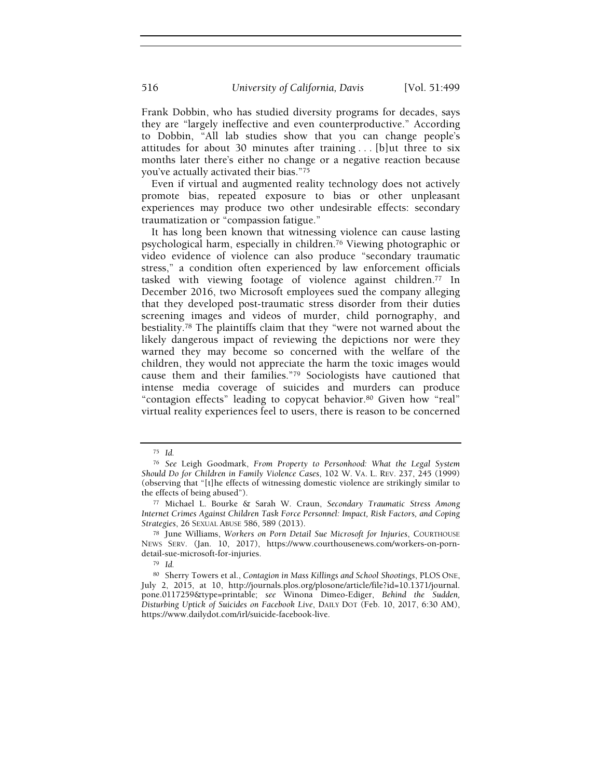Frank Dobbin, who has studied diversity programs for decades, says they are "largely ineffective and even counterproductive." According to Dobbin, "All lab studies show that you can change people's attitudes for about 30 minutes after training . . . [b]ut three to six months later there's either no change or a negative reaction because you've actually activated their bias."<sup>75</sup>

Even if virtual and augmented reality technology does not actively promote bias, repeated exposure to bias or other unpleasant experiences may produce two other undesirable effects: secondary traumatization or "compassion fatigue."

It has long been known that witnessing violence can cause lasting psychological harm, especially in children.76 Viewing photographic or video evidence of violence can also produce "secondary traumatic stress," a condition often experienced by law enforcement officials tasked with viewing footage of violence against children.77 In December 2016, two Microsoft employees sued the company alleging that they developed post-traumatic stress disorder from their duties screening images and videos of murder, child pornography, and bestiality.78 The plaintiffs claim that they "were not warned about the likely dangerous impact of reviewing the depictions nor were they warned they may become so concerned with the welfare of the children, they would not appreciate the harm the toxic images would cause them and their families."79 Sociologists have cautioned that intense media coverage of suicides and murders can produce "contagion effects" leading to copycat behavior.<sup>80</sup> Given how "real" virtual reality experiences feel to users, there is reason to be concerned

<sup>75</sup> Id.

<sup>76</sup> See Leigh Goodmark, From Property to Personhood: What the Legal System Should Do for Children in Family Violence Cases, 102 W. VA. L. REV. 237, 245 (1999) (observing that "[t]he effects of witnessing domestic violence are strikingly similar to the effects of being abused").

<sup>77</sup> Michael L. Bourke & Sarah W. Craun, Secondary Traumatic Stress Among Internet Crimes Against Children Task Force Personnel: Impact, Risk Factors, and Coping Strategies, 26 SEXUAL ABUSE 586, 589 (2013).

<sup>78</sup> June Williams, Workers on Porn Detail Sue Microsoft for Injuries, COURTHOUSE NEWS SERV. (Jan. 10, 2017), https://www.courthousenews.com/workers-on-porndetail-sue-microsoft-for-injuries.

<sup>79</sup> Id.

<sup>80</sup> Sherry Towers et al., Contagion in Mass Killings and School Shootings, PLOS ONE, July 2, 2015, at 10, http://journals.plos.org/plosone/article/file?id=10.1371/journal. pone.0117259&type=printable; see Winona Dimeo-Ediger, Behind the Sudden, Disturbing Uptick of Suicides on Facebook Live, DAILY DOT (Feb. 10, 2017, 6:30 AM), https://www.dailydot.com/irl/suicide-facebook-live.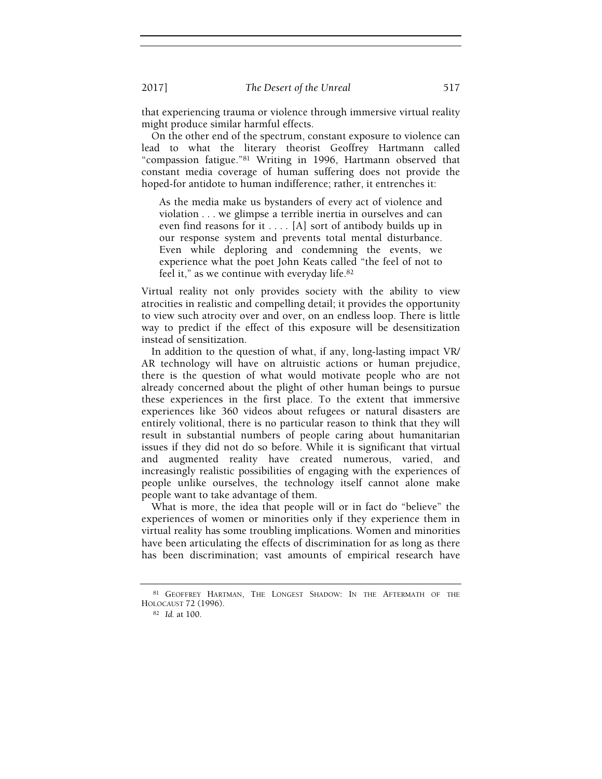that experiencing trauma or violence through immersive virtual reality might produce similar harmful effects.

On the other end of the spectrum, constant exposure to violence can lead to what the literary theorist Geoffrey Hartmann called "compassion fatigue."81 Writing in 1996, Hartmann observed that constant media coverage of human suffering does not provide the hoped-for antidote to human indifference; rather, it entrenches it:

As the media make us bystanders of every act of violence and violation . . . we glimpse a terrible inertia in ourselves and can even find reasons for it . . . . [A] sort of antibody builds up in our response system and prevents total mental disturbance. Even while deploring and condemning the events, we experience what the poet John Keats called "the feel of not to feel it," as we continue with everyday life.<sup>82</sup>

Virtual reality not only provides society with the ability to view atrocities in realistic and compelling detail; it provides the opportunity to view such atrocity over and over, on an endless loop. There is little way to predict if the effect of this exposure will be desensitization instead of sensitization.

In addition to the question of what, if any, long-lasting impact VR/ AR technology will have on altruistic actions or human prejudice, there is the question of what would motivate people who are not already concerned about the plight of other human beings to pursue these experiences in the first place. To the extent that immersive experiences like 360 videos about refugees or natural disasters are entirely volitional, there is no particular reason to think that they will result in substantial numbers of people caring about humanitarian issues if they did not do so before. While it is significant that virtual and augmented reality have created numerous, varied, and increasingly realistic possibilities of engaging with the experiences of people unlike ourselves, the technology itself cannot alone make people want to take advantage of them.

What is more, the idea that people will or in fact do "believe" the experiences of women or minorities only if they experience them in virtual reality has some troubling implications. Women and minorities have been articulating the effects of discrimination for as long as there has been discrimination; vast amounts of empirical research have

<sup>81</sup> GEOFFREY HARTMAN, THE LONGEST SHADOW: IN THE AFTERMATH OF THE HOLOCAUST 72 (1996).

<sup>82</sup> Id. at 100.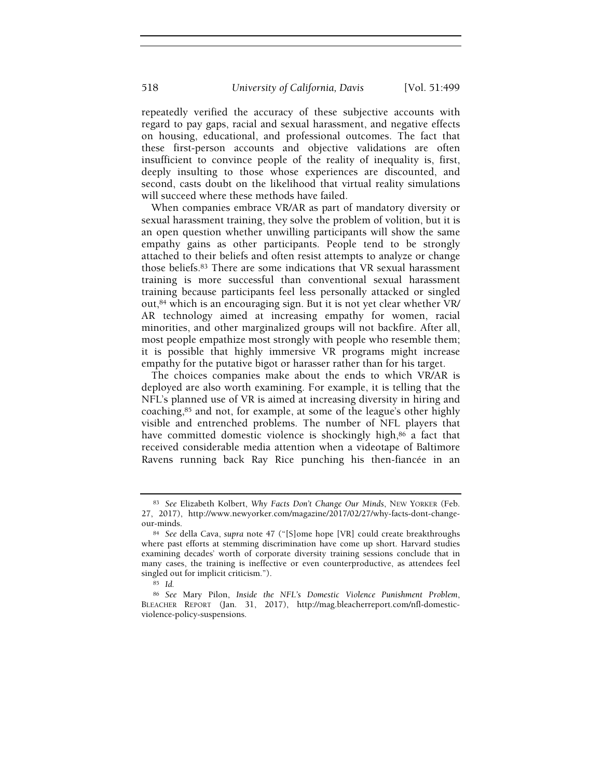repeatedly verified the accuracy of these subjective accounts with regard to pay gaps, racial and sexual harassment, and negative effects on housing, educational, and professional outcomes. The fact that these first-person accounts and objective validations are often insufficient to convince people of the reality of inequality is, first, deeply insulting to those whose experiences are discounted, and second, casts doubt on the likelihood that virtual reality simulations will succeed where these methods have failed.

When companies embrace VR/AR as part of mandatory diversity or sexual harassment training, they solve the problem of volition, but it is an open question whether unwilling participants will show the same empathy gains as other participants. People tend to be strongly attached to their beliefs and often resist attempts to analyze or change those beliefs.83 There are some indications that VR sexual harassment training is more successful than conventional sexual harassment training because participants feel less personally attacked or singled out,84 which is an encouraging sign. But it is not yet clear whether VR/ AR technology aimed at increasing empathy for women, racial minorities, and other marginalized groups will not backfire. After all, most people empathize most strongly with people who resemble them; it is possible that highly immersive VR programs might increase empathy for the putative bigot or harasser rather than for his target.

The choices companies make about the ends to which VR/AR is deployed are also worth examining. For example, it is telling that the NFL's planned use of VR is aimed at increasing diversity in hiring and coaching,85 and not, for example, at some of the league's other highly visible and entrenched problems. The number of NFL players that have committed domestic violence is shockingly high,<sup>86</sup> a fact that received considerable media attention when a videotape of Baltimore Ravens running back Ray Rice punching his then-fiancée in an

<sup>83</sup> See Elizabeth Kolbert, Why Facts Don't Change Our Minds, NEW YORKER (Feb. 27, 2017), http://www.newyorker.com/magazine/2017/02/27/why-facts-dont-changeour-minds.

<sup>84</sup> See della Cava, supra note 47 ("[S]ome hope [VR] could create breakthroughs where past efforts at stemming discrimination have come up short. Harvard studies examining decades' worth of corporate diversity training sessions conclude that in many cases, the training is ineffective or even counterproductive, as attendees feel singled out for implicit criticism.").

<sup>85</sup> Id.

<sup>86</sup> See Mary Pilon, Inside the NFL's Domestic Violence Punishment Problem, BLEACHER REPORT (Jan. 31, 2017), http://mag.bleacherreport.com/nfl-domesticviolence-policy-suspensions.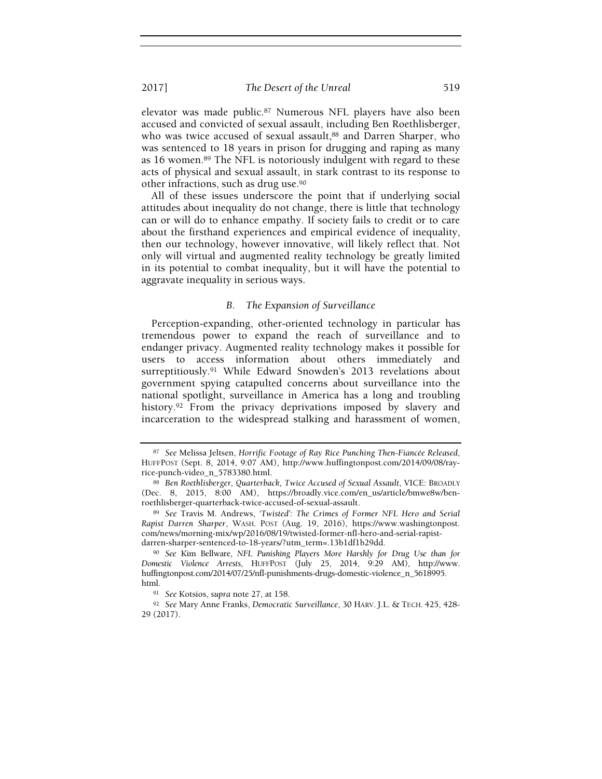elevator was made public.87 Numerous NFL players have also been accused and convicted of sexual assault, including Ben Roethlisberger, who was twice accused of sexual assault,<sup>88</sup> and Darren Sharper, who was sentenced to 18 years in prison for drugging and raping as many as 16 women.89 The NFL is notoriously indulgent with regard to these acts of physical and sexual assault, in stark contrast to its response to other infractions, such as drug use.<sup>90</sup>

All of these issues underscore the point that if underlying social attitudes about inequality do not change, there is little that technology can or will do to enhance empathy. If society fails to credit or to care about the firsthand experiences and empirical evidence of inequality, then our technology, however innovative, will likely reflect that. Not only will virtual and augmented reality technology be greatly limited in its potential to combat inequality, but it will have the potential to aggravate inequality in serious ways.

## B. The Expansion of Surveillance

Perception-expanding, other-oriented technology in particular has tremendous power to expand the reach of surveillance and to endanger privacy. Augmented reality technology makes it possible for users to access information about others immediately and surreptitiously.91 While Edward Snowden's 2013 revelations about government spying catapulted concerns about surveillance into the national spotlight, surveillance in America has a long and troubling history.<sup>92</sup> From the privacy deprivations imposed by slavery and incarceration to the widespread stalking and harassment of women,

<sup>87</sup> See Melissa Jeltsen, Horrific Footage of Ray Rice Punching Then-Fiancée Released, HUFFPOST (Sept. 8, 2014, 9:07 AM), http://www.huffingtonpost.com/2014/09/08/rayrice-punch-video\_n\_5783380.html.

<sup>88</sup> Ben Roethlisberger, Quarterback, Twice Accused of Sexual Assault, VICE: BROADLY (Dec. 8, 2015, 8:00 AM), https://broadly.vice.com/en\_us/article/bmwe8w/benroethlisberger-quarterback-twice-accused-of-sexual-assault.

<sup>89</sup> See Travis M. Andrews, 'Twisted': The Crimes of Former NFL Hero and Serial Rapist Darren Sharper, WASH. POST (Aug. 19, 2016), https://www.washingtonpost. com/news/morning-mix/wp/2016/08/19/twisted-former-nfl-hero-and-serial-rapistdarren-sharper-sentenced-to-18-years/?utm\_term=.13b1df1b29dd.

<sup>90</sup> See Kim Bellware, NFL Punishing Players More Harshly for Drug Use than for Domestic Violence Arrests, HUFFPOST (July 25, 2014, 9:29 AM), http://www. huffingtonpost.com/2014/07/25/nfl-punishments-drugs-domestic-violence\_n\_5618995. html.

<sup>91</sup> See Kotsios, supra note 27, at 158.

<sup>92</sup> See Mary Anne Franks, Democratic Surveillance, 30 HARV. J.L. & TECH. 425, 428-29 (2017).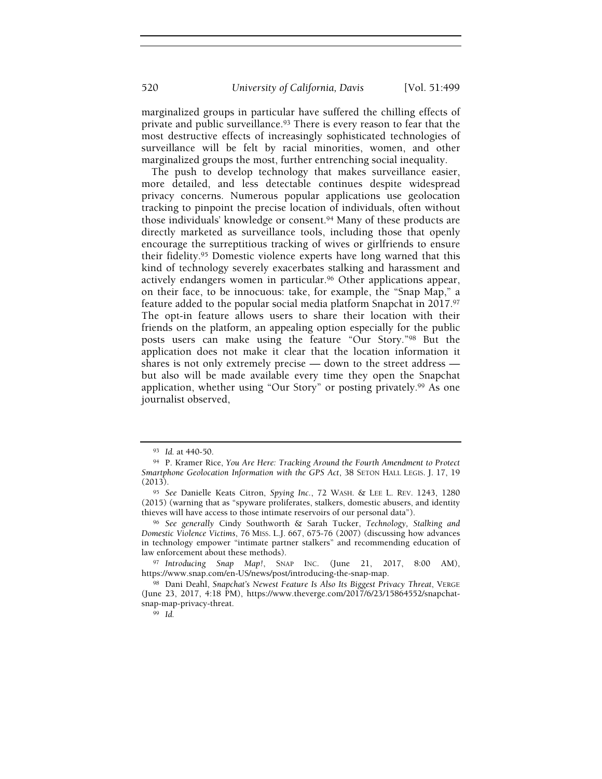520 University of California, Davis [Vol. 51:499

marginalized groups in particular have suffered the chilling effects of private and public surveillance.<sup>93</sup> There is every reason to fear that the most destructive effects of increasingly sophisticated technologies of surveillance will be felt by racial minorities, women, and other marginalized groups the most, further entrenching social inequality.

The push to develop technology that makes surveillance easier, more detailed, and less detectable continues despite widespread privacy concerns. Numerous popular applications use geolocation tracking to pinpoint the precise location of individuals, often without those individuals' knowledge or consent.94 Many of these products are directly marketed as surveillance tools, including those that openly encourage the surreptitious tracking of wives or girlfriends to ensure their fidelity.95 Domestic violence experts have long warned that this kind of technology severely exacerbates stalking and harassment and actively endangers women in particular.<sup>96</sup> Other applications appear, on their face, to be innocuous: take, for example, the "Snap Map," a feature added to the popular social media platform Snapchat in 2017.<sup>97</sup> The opt-in feature allows users to share their location with their friends on the platform, an appealing option especially for the public posts users can make using the feature "Our Story."98 But the application does not make it clear that the location information it shares is not only extremely precise — down to the street address but also will be made available every time they open the Snapchat application, whether using "Our Story" or posting privately.99 As one journalist observed,

<sup>93</sup> Id. at 440-50.

<sup>94</sup> P. Kramer Rice, You Are Here: Tracking Around the Fourth Amendment to Protect Smartphone Geolocation Information with the GPS Act, 38 SETON HALL LEGIS. J. 17, 19 (2013).

<sup>95</sup> See Danielle Keats Citron, Spying Inc., 72 WASH. & LEE L. REV. 1243, 1280 (2015) (warning that as "spyware proliferates, stalkers, domestic abusers, and identity thieves will have access to those intimate reservoirs of our personal data").

<sup>96</sup> See generally Cindy Southworth & Sarah Tucker, Technology, Stalking and Domestic Violence Victims, 76 MISS. L.J. 667, 675-76 (2007) (discussing how advances in technology empower "intimate partner stalkers" and recommending education of law enforcement about these methods).

<sup>97</sup> Introducing Snap Map!, SNAP INC. (June 21, 2017, 8:00 AM), https://www.snap.com/en-US/news/post/introducing-the-snap-map.

<sup>98</sup> Dani Deahl, Snapchat's Newest Feature Is Also Its Biggest Privacy Threat, VERGE (June 23, 2017, 4:18 PM), https://www.theverge.com/2017/6/23/15864552/snapchatsnap-map-privacy-threat.

<sup>99</sup> Id.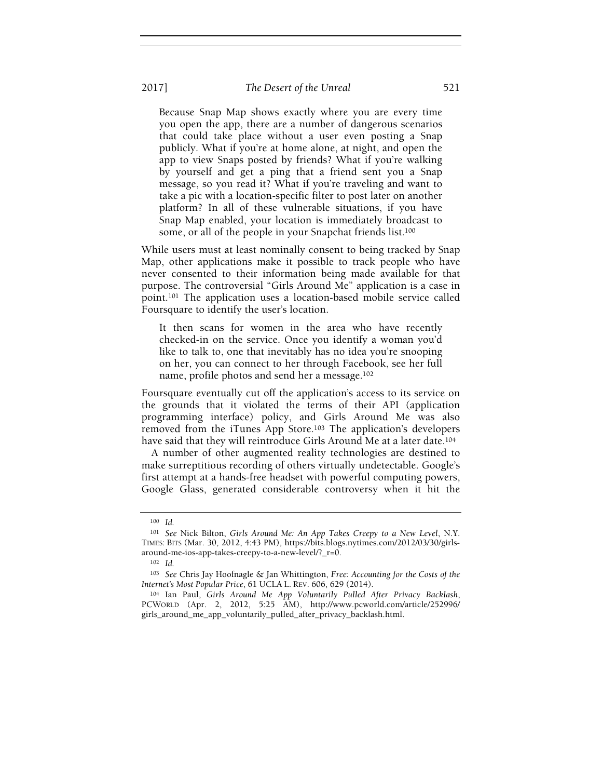Because Snap Map shows exactly where you are every time you open the app, there are a number of dangerous scenarios that could take place without a user even posting a Snap publicly. What if you're at home alone, at night, and open the app to view Snaps posted by friends? What if you're walking by yourself and get a ping that a friend sent you a Snap message, so you read it? What if you're traveling and want to take a pic with a location-specific filter to post later on another platform? In all of these vulnerable situations, if you have Snap Map enabled, your location is immediately broadcast to some, or all of the people in your Snapchat friends list.<sup>100</sup>

While users must at least nominally consent to being tracked by Snap Map, other applications make it possible to track people who have never consented to their information being made available for that purpose. The controversial "Girls Around Me" application is a case in point.101 The application uses a location-based mobile service called Foursquare to identify the user's location.

It then scans for women in the area who have recently checked-in on the service. Once you identify a woman you'd like to talk to, one that inevitably has no idea you're snooping on her, you can connect to her through Facebook, see her full name, profile photos and send her a message.<sup>102</sup>

Foursquare eventually cut off the application's access to its service on the grounds that it violated the terms of their API (application programming interface) policy, and Girls Around Me was also removed from the iTunes App Store.103 The application's developers have said that they will reintroduce Girls Around Me at a later date.<sup>104</sup>

A number of other augmented reality technologies are destined to make surreptitious recording of others virtually undetectable. Google's first attempt at a hands-free headset with powerful computing powers, Google Glass, generated considerable controversy when it hit the

<sup>100</sup> Id.

<sup>101</sup> See Nick Bilton, Girls Around Me: An App Takes Creepy to a New Level, N.Y. TIMES: BITS (Mar. 30, 2012, 4:43 PM), https://bits.blogs.nytimes.com/2012/03/30/girlsaround-me-ios-app-takes-creepy-to-a-new-level/?\_r=0.

<sup>102</sup> Id.

<sup>103</sup> See Chris Jay Hoofnagle & Jan Whittington, Free: Accounting for the Costs of the Internet's Most Popular Price, 61 UCLA L. REV. 606, 629 (2014).

<sup>104</sup> Ian Paul, Girls Around Me App Voluntarily Pulled After Privacy Backlash, PCWORLD (Apr. 2, 2012, 5:25 AM), http://www.pcworld.com/article/252996/ girls\_around\_me\_app\_voluntarily\_pulled\_after\_privacy\_backlash.html.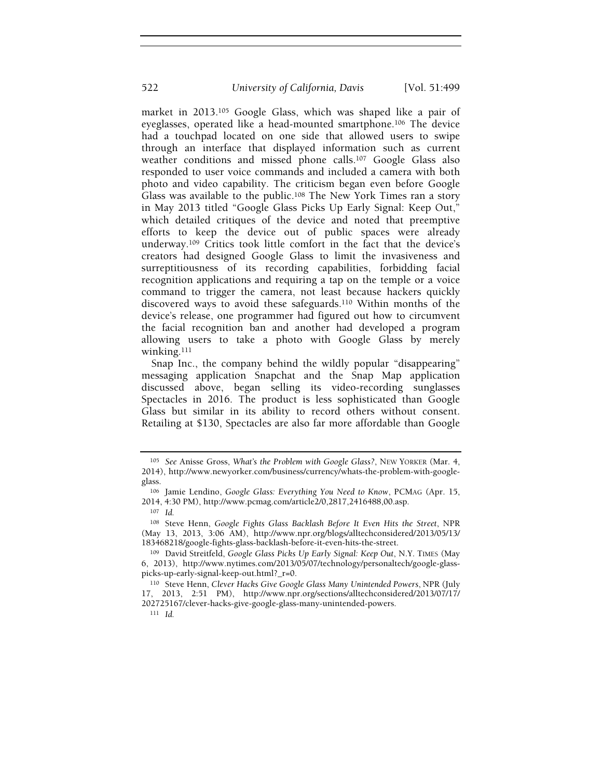market in 2013.105 Google Glass, which was shaped like a pair of eyeglasses, operated like a head-mounted smartphone.106 The device had a touchpad located on one side that allowed users to swipe through an interface that displayed information such as current weather conditions and missed phone calls.<sup>107</sup> Google Glass also responded to user voice commands and included a camera with both photo and video capability. The criticism began even before Google Glass was available to the public.108 The New York Times ran a story in May 2013 titled "Google Glass Picks Up Early Signal: Keep Out," which detailed critiques of the device and noted that preemptive efforts to keep the device out of public spaces were already underway.109 Critics took little comfort in the fact that the device's creators had designed Google Glass to limit the invasiveness and surreptitiousness of its recording capabilities, forbidding facial recognition applications and requiring a tap on the temple or a voice command to trigger the camera, not least because hackers quickly discovered ways to avoid these safeguards.110 Within months of the device's release, one programmer had figured out how to circumvent the facial recognition ban and another had developed a program allowing users to take a photo with Google Glass by merely winking.<sup>111</sup>

Snap Inc., the company behind the wildly popular "disappearing" messaging application Snapchat and the Snap Map application discussed above, began selling its video-recording sunglasses Spectacles in 2016. The product is less sophisticated than Google Glass but similar in its ability to record others without consent. Retailing at \$130, Spectacles are also far more affordable than Google

<sup>105</sup> See Anisse Gross, What's the Problem with Google Glass?, NEW YORKER (Mar. 4, 2014), http://www.newyorker.com/business/currency/whats-the-problem-with-googleglass.

<sup>106</sup> Jamie Lendino, Google Glass: Everything You Need to Know, PCMAG (Apr. 15, 2014, 4:30 PM), http://www.pcmag.com/article2/0,2817,2416488,00.asp.

<sup>107</sup> Id.

<sup>108</sup> Steve Henn, Google Fights Glass Backlash Before It Even Hits the Street, NPR (May 13, 2013, 3:06 AM), http://www.npr.org/blogs/alltechconsidered/2013/05/13/ 183468218/google-fights-glass-backlash-before-it-even-hits-the-street.

<sup>109</sup> David Streitfeld, Google Glass Picks Up Early Signal: Keep Out, N.Y. TIMES (May 6, 2013), http://www.nytimes.com/2013/05/07/technology/personaltech/google-glasspicks-up-early-signal-keep-out.html?\_r=0.

<sup>110</sup> Steve Henn, Clever Hacks Give Google Glass Many Unintended Powers, NPR (July 17, 2013, 2:51 PM), http://www.npr.org/sections/alltechconsidered/2013/07/17/ 202725167/clever-hacks-give-google-glass-many-unintended-powers.

 $111$  Id.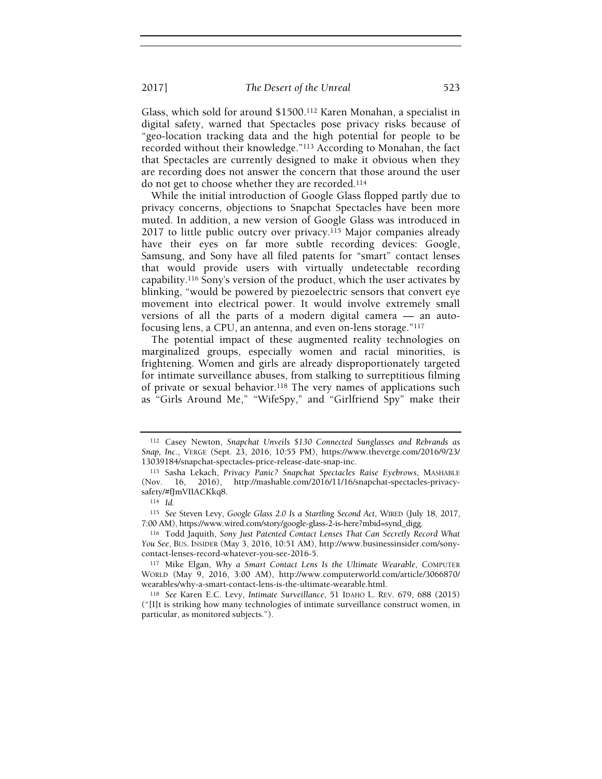Glass, which sold for around \$1500.112 Karen Monahan, a specialist in digital safety, warned that Spectacles pose privacy risks because of "geo-location tracking data and the high potential for people to be recorded without their knowledge."113 According to Monahan, the fact that Spectacles are currently designed to make it obvious when they are recording does not answer the concern that those around the user do not get to choose whether they are recorded.<sup>114</sup>

While the initial introduction of Google Glass flopped partly due to privacy concerns, objections to Snapchat Spectacles have been more muted. In addition, a new version of Google Glass was introduced in 2017 to little public outcry over privacy.115 Major companies already have their eyes on far more subtle recording devices: Google, Samsung, and Sony have all filed patents for "smart" contact lenses that would provide users with virtually undetectable recording capability.116 Sony's version of the product, which the user activates by blinking, "would be powered by piezoelectric sensors that convert eye movement into electrical power. It would involve extremely small versions of all the parts of a modern digital camera — an autofocusing lens, a CPU, an antenna, and even on-lens storage."<sup>117</sup>

The potential impact of these augmented reality technologies on marginalized groups, especially women and racial minorities, is frightening. Women and girls are already disproportionately targeted for intimate surveillance abuses, from stalking to surreptitious filming of private or sexual behavior.118 The very names of applications such as "Girls Around Me," "WifeSpy," and "Girlfriend Spy" make their

<sup>112</sup> Casey Newton, Snapchat Unveils \$130 Connected Sunglasses and Rebrands as Snap, Inc., VERGE (Sept. 23, 2016, 10:55 PM), https://www.theverge.com/2016/9/23/ 13039184/snapchat-spectacles-price-release-date-snap-inc.

<sup>113</sup> Sasha Lekach, Privacy Panic? Snapchat Spectacles Raise Eyebrows, MASHABLE (Nov. 16, 2016), http://mashable.com/2016/11/16/snapchat-spectacles-privacysafety/#fJmVIIACKkq8.

<sup>114</sup> Id.

<sup>115</sup> See Steven Levy, Google Glass 2.0 Is a Startling Second Act, WIRED (July 18, 2017, 7:00 AM), https://www.wired.com/story/google-glass-2-is-here?mbid=synd\_digg.

<sup>116</sup> Todd Jaquith, Sony Just Patented Contact Lenses That Can Secretly Record What You See, BUS. INSIDER (May 3, 2016, 10:51 AM), http://www.businessinsider.com/sonycontact-lenses-record-whatever-you-see-2016-5.

<sup>117</sup> Mike Elgan, Why a Smart Contact Lens Is the Ultimate Wearable, COMPUTER WORLD (May 9, 2016, 3:00 AM), http://www.computerworld.com/article/3066870/ wearables/why-a-smart-contact-lens-is-the-ultimate-wearable.html.

<sup>118</sup> See Karen E.C. Levy, Intimate Surveillance, 51 IDAHO L. REV. 679, 688 (2015) ("[I]t is striking how many technologies of intimate surveillance construct women, in particular, as monitored subjects.").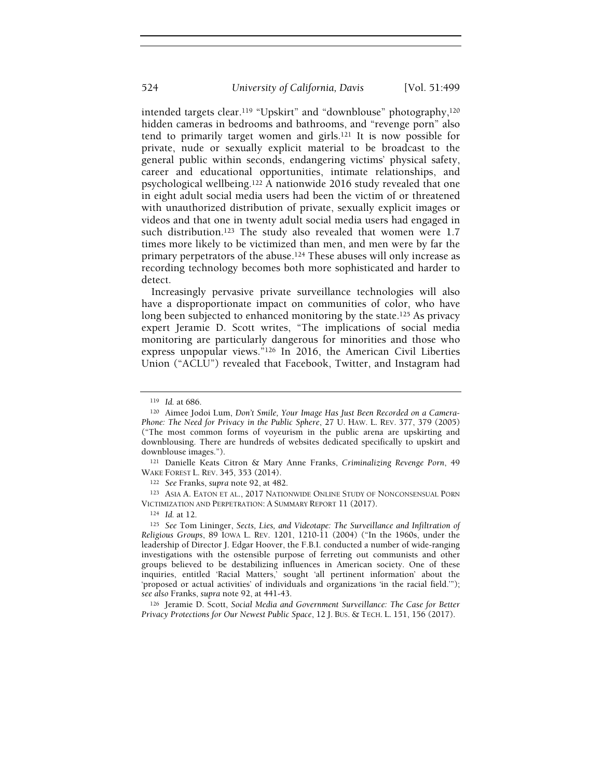intended targets clear.119 "Upskirt" and "downblouse" photography,<sup>120</sup> hidden cameras in bedrooms and bathrooms, and "revenge porn" also tend to primarily target women and girls.121 It is now possible for private, nude or sexually explicit material to be broadcast to the general public within seconds, endangering victims' physical safety, career and educational opportunities, intimate relationships, and psychological wellbeing.122 A nationwide 2016 study revealed that one in eight adult social media users had been the victim of or threatened with unauthorized distribution of private, sexually explicit images or videos and that one in twenty adult social media users had engaged in such distribution.<sup>123</sup> The study also revealed that women were 1.7 times more likely to be victimized than men, and men were by far the primary perpetrators of the abuse.124 These abuses will only increase as recording technology becomes both more sophisticated and harder to detect.

Increasingly pervasive private surveillance technologies will also have a disproportionate impact on communities of color, who have long been subjected to enhanced monitoring by the state.<sup>125</sup> As privacy expert Jeramie D. Scott writes, "The implications of social media monitoring are particularly dangerous for minorities and those who express unpopular views."126 In 2016, the American Civil Liberties Union ("ACLU") revealed that Facebook, Twitter, and Instagram had

<sup>123</sup> ASIA A. EATON ET AL., 2017 NATIONWIDE ONLINE STUDY OF NONCONSENSUAL PORN VICTIMIZATION AND PERPETRATION: A SUMMARY REPORT 11 (2017).

<sup>124</sup> Id. at 12.

125 See Tom Lininger, Sects, Lies, and Videotape: The Surveillance and Infiltration of Religious Groups, 89 IOWA L. REV. 1201, 1210-11 (2004) ("In the 1960s, under the leadership of Director J. Edgar Hoover, the F.B.I. conducted a number of wide-ranging investigations with the ostensible purpose of ferreting out communists and other groups believed to be destabilizing influences in American society. One of these inquiries, entitled 'Racial Matters,' sought 'all pertinent information' about the 'proposed or actual activities' of individuals and organizations 'in the racial field.'"); see also Franks, supra note 92, at 441-43.

<sup>126</sup> Jeramie D. Scott, Social Media and Government Surveillance: The Case for Better Privacy Protections for Our Newest Public Space, 12 J. BUS. & TECH. L. 151, 156 (2017).

<sup>119</sup> Id. at 686.

<sup>120</sup> Aimee Jodoi Lum, Don't Smile, Your Image Has Just Been Recorded on a Camera-Phone: The Need for Privacy in the Public Sphere, 27 U. HAW. L. REV. 377, 379 (2005) ("The most common forms of voyeurism in the public arena are upskirting and downblousing. There are hundreds of websites dedicated specifically to upskirt and downblouse images.").

<sup>121</sup> Danielle Keats Citron & Mary Anne Franks, Criminalizing Revenge Porn, 49 WAKE FOREST L. REV. 345, 353 (2014).

<sup>122</sup> See Franks, supra note 92, at 482.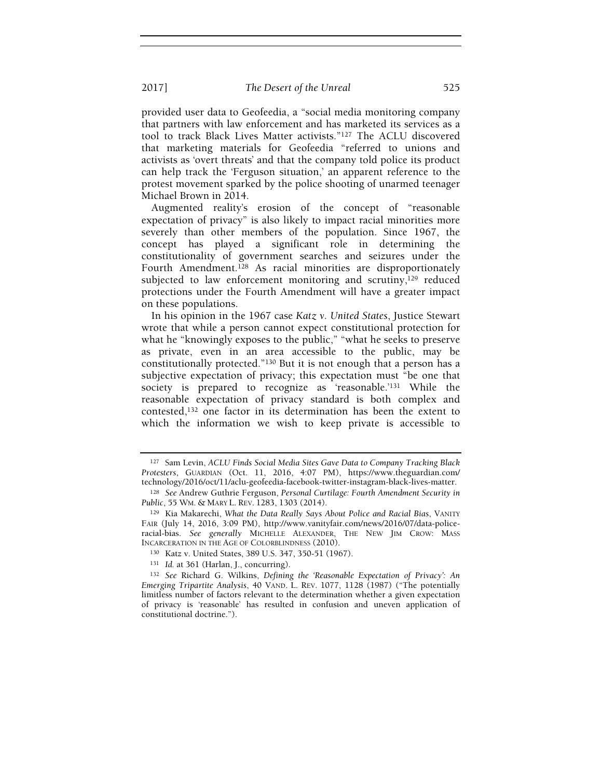provided user data to Geofeedia, a "social media monitoring company that partners with law enforcement and has marketed its services as a tool to track Black Lives Matter activists."127 The ACLU discovered that marketing materials for Geofeedia "referred to unions and activists as 'overt threats' and that the company told police its product can help track the 'Ferguson situation,' an apparent reference to the protest movement sparked by the police shooting of unarmed teenager Michael Brown in 2014.

Augmented reality's erosion of the concept of "reasonable expectation of privacy" is also likely to impact racial minorities more severely than other members of the population. Since 1967, the concept has played a significant role in determining the constitutionality of government searches and seizures under the Fourth Amendment.128 As racial minorities are disproportionately subjected to law enforcement monitoring and scrutiny,<sup>129</sup> reduced protections under the Fourth Amendment will have a greater impact on these populations.

In his opinion in the 1967 case Katz v. United States, Justice Stewart wrote that while a person cannot expect constitutional protection for what he "knowingly exposes to the public," "what he seeks to preserve as private, even in an area accessible to the public, may be constitutionally protected."130 But it is not enough that a person has a subjective expectation of privacy; this expectation must "be one that society is prepared to recognize as 'reasonable.'131 While the reasonable expectation of privacy standard is both complex and contested,132 one factor in its determination has been the extent to which the information we wish to keep private is accessible to

<sup>127</sup> Sam Levin, ACLU Finds Social Media Sites Gave Data to Company Tracking Black Protesters, GUARDIAN (Oct. 11, 2016, 4:07 PM), https://www.theguardian.com/ technology/2016/oct/11/aclu-geofeedia-facebook-twitter-instagram-black-lives-matter.

<sup>128</sup> See Andrew Guthrie Ferguson, Personal Curtilage: Fourth Amendment Security in Public, 55 WM. & MARY L. REV. 1283, 1303 (2014).

<sup>129</sup> Kia Makarechi, What the Data Really Says About Police and Racial Bias, VANITY FAIR (July 14, 2016, 3:09 PM), http://www.vanityfair.com/news/2016/07/data-policeracial-bias. See generally MICHELLE ALEXANDER, THE NEW JIM CROW: MASS INCARCERATION IN THE AGE OF COLORBLINDNESS (2010).

<sup>130</sup> Katz v. United States, 389 U.S. 347, 350-51 (1967).

<sup>131</sup> Id. at 361 (Harlan, J., concurring).

<sup>132</sup> See Richard G. Wilkins, Defining the 'Reasonable Expectation of Privacy': An Emerging Tripartite Analysis, 40 VAND. L. REV. 1077, 1128 (1987) ("The potentially limitless number of factors relevant to the determination whether a given expectation of privacy is 'reasonable' has resulted in confusion and uneven application of constitutional doctrine.").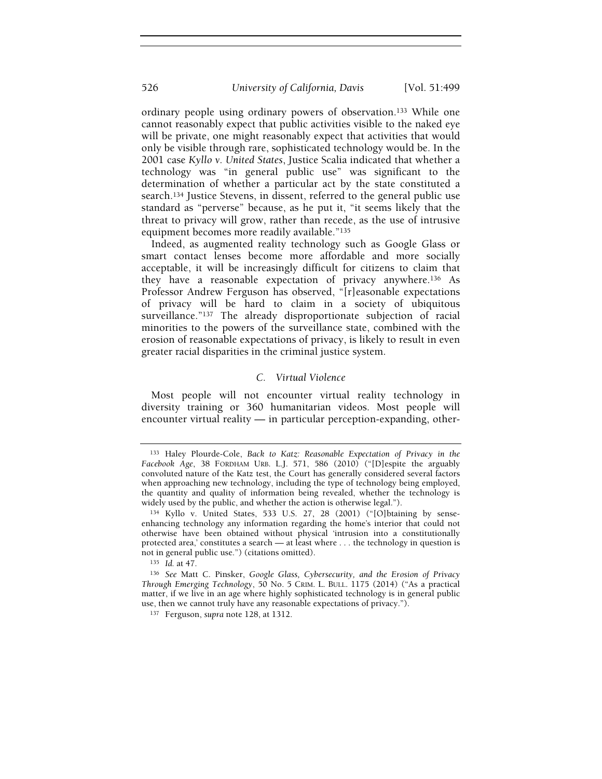ordinary people using ordinary powers of observation.133 While one cannot reasonably expect that public activities visible to the naked eye will be private, one might reasonably expect that activities that would only be visible through rare, sophisticated technology would be. In the 2001 case Kyllo v. United States, Justice Scalia indicated that whether a technology was "in general public use" was significant to the determination of whether a particular act by the state constituted a search.134 Justice Stevens, in dissent, referred to the general public use standard as "perverse" because, as he put it, "it seems likely that the threat to privacy will grow, rather than recede, as the use of intrusive equipment becomes more readily available."<sup>135</sup>

Indeed, as augmented reality technology such as Google Glass or smart contact lenses become more affordable and more socially acceptable, it will be increasingly difficult for citizens to claim that they have a reasonable expectation of privacy anywhere.136 As Professor Andrew Ferguson has observed, "[r]easonable expectations of privacy will be hard to claim in a society of ubiquitous surveillance."<sup>137</sup> The already disproportionate subjection of racial minorities to the powers of the surveillance state, combined with the erosion of reasonable expectations of privacy, is likely to result in even greater racial disparities in the criminal justice system.

## C. Virtual Violence

Most people will not encounter virtual reality technology in diversity training or 360 humanitarian videos. Most people will encounter virtual reality — in particular perception-expanding, other-

<sup>135</sup> Id. at 47.

<sup>133</sup> Haley Plourde-Cole, Back to Katz: Reasonable Expectation of Privacy in the Facebook Age, 38 FORDHAM URB. L.J. 571, 586 (2010) ("[D]espite the arguably convoluted nature of the Katz test, the Court has generally considered several factors when approaching new technology, including the type of technology being employed, the quantity and quality of information being revealed, whether the technology is widely used by the public, and whether the action is otherwise legal.").

<sup>134</sup> Kyllo v. United States, 533 U.S. 27, 28 (2001) ("[O]btaining by senseenhancing technology any information regarding the home's interior that could not otherwise have been obtained without physical 'intrusion into a constitutionally protected area,' constitutes a search — at least where . . . the technology in question is not in general public use.") (citations omitted).

<sup>136</sup> See Matt C. Pinsker, Google Glass, Cybersecurity, and the Erosion of Privacy Through Emerging Technology, 50 No. 5 CRIM. L. BULL. 1175 (2014) ("As a practical matter, if we live in an age where highly sophisticated technology is in general public use, then we cannot truly have any reasonable expectations of privacy.").

<sup>137</sup> Ferguson, supra note 128, at 1312.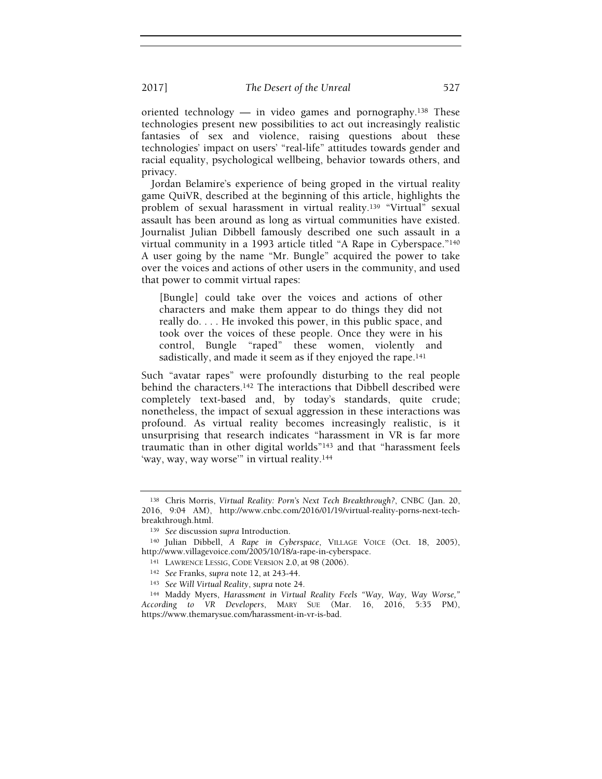oriented technology — in video games and pornography.138 These technologies present new possibilities to act out increasingly realistic fantasies of sex and violence, raising questions about these technologies' impact on users' "real-life" attitudes towards gender and racial equality, psychological wellbeing, behavior towards others, and privacy.

Jordan Belamire's experience of being groped in the virtual reality game QuiVR, described at the beginning of this article, highlights the problem of sexual harassment in virtual reality.139 "Virtual" sexual assault has been around as long as virtual communities have existed. Journalist Julian Dibbell famously described one such assault in a virtual community in a 1993 article titled "A Rape in Cyberspace."<sup>140</sup> A user going by the name "Mr. Bungle" acquired the power to take over the voices and actions of other users in the community, and used that power to commit virtual rapes:

[Bungle] could take over the voices and actions of other characters and make them appear to do things they did not really do. . . . He invoked this power, in this public space, and took over the voices of these people. Once they were in his control, Bungle "raped" these women, violently and sadistically, and made it seem as if they enjoyed the rape.<sup>141</sup>

Such "avatar rapes" were profoundly disturbing to the real people behind the characters.142 The interactions that Dibbell described were completely text-based and, by today's standards, quite crude; nonetheless, the impact of sexual aggression in these interactions was profound. As virtual reality becomes increasingly realistic, is it unsurprising that research indicates "harassment in VR is far more traumatic than in other digital worlds"143 and that "harassment feels 'way, way, way worse'" in virtual reality.<sup>144</sup>

<sup>138</sup> Chris Morris, Virtual Reality: Porn's Next Tech Breakthrough?, CNBC (Jan. 20, 2016, 9:04 AM), http://www.cnbc.com/2016/01/19/virtual-reality-porns-next-techbreakthrough.html.

<sup>139</sup> See discussion supra Introduction.

<sup>140</sup> Julian Dibbell, A Rape in Cyberspace, VILLAGE VOICE (Oct. 18, 2005), http://www.villagevoice.com/2005/10/18/a-rape-in-cyberspace.

<sup>141</sup> LAWRENCE LESSIG, CODE VERSION 2.0, at 98 (2006).

<sup>142</sup> See Franks, supra note 12, at 243-44.

<sup>143</sup> See Will Virtual Reality, supra note 24.

<sup>144</sup> Maddy Myers, Harassment in Virtual Reality Feels "Way, Way, Way Worse," According to VR Developers, MARY SUE (Mar. 16, 2016, 5:35 PM), https://www.themarysue.com/harassment-in-vr-is-bad.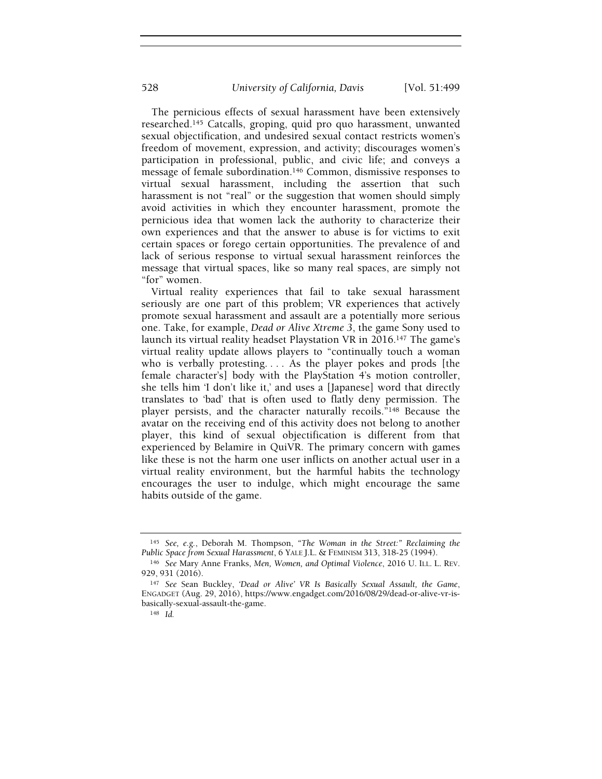The pernicious effects of sexual harassment have been extensively researched.145 Catcalls, groping, quid pro quo harassment, unwanted sexual objectification, and undesired sexual contact restricts women's freedom of movement, expression, and activity; discourages women's participation in professional, public, and civic life; and conveys a message of female subordination.146 Common, dismissive responses to virtual sexual harassment, including the assertion that such harassment is not "real" or the suggestion that women should simply avoid activities in which they encounter harassment, promote the pernicious idea that women lack the authority to characterize their own experiences and that the answer to abuse is for victims to exit certain spaces or forego certain opportunities. The prevalence of and lack of serious response to virtual sexual harassment reinforces the message that virtual spaces, like so many real spaces, are simply not "for" women.

Virtual reality experiences that fail to take sexual harassment seriously are one part of this problem; VR experiences that actively promote sexual harassment and assault are a potentially more serious one. Take, for example, Dead or Alive Xtreme 3, the game Sony used to launch its virtual reality headset Playstation VR in 2016.<sup>147</sup> The game's virtual reality update allows players to "continually touch a woman who is verbally protesting. . . . As the player pokes and prods [the female character's] body with the PlayStation 4's motion controller, she tells him 'I don't like it,' and uses a [Japanese] word that directly translates to 'bad' that is often used to flatly deny permission. The player persists, and the character naturally recoils."<sup>148</sup> Because the avatar on the receiving end of this activity does not belong to another player, this kind of sexual objectification is different from that experienced by Belamire in QuiVR. The primary concern with games like these is not the harm one user inflicts on another actual user in a virtual reality environment, but the harmful habits the technology encourages the user to indulge, which might encourage the same habits outside of the game.

<sup>145</sup> See, e.g., Deborah M. Thompson, "The Woman in the Street:" Reclaiming the Public Space from Sexual Harassment, 6 YALE J.L. & FEMINISM 313, 318-25 (1994).

<sup>146</sup> See Mary Anne Franks, Men, Women, and Optimal Violence, 2016 U. ILL. L. REV. 929, 931 (2016).

<sup>147</sup> See Sean Buckley, 'Dead or Alive' VR Is Basically Sexual Assault, the Game, ENGADGET (Aug. 29, 2016), https://www.engadget.com/2016/08/29/dead-or-alive-vr-isbasically-sexual-assault-the-game.

<sup>148</sup> Id.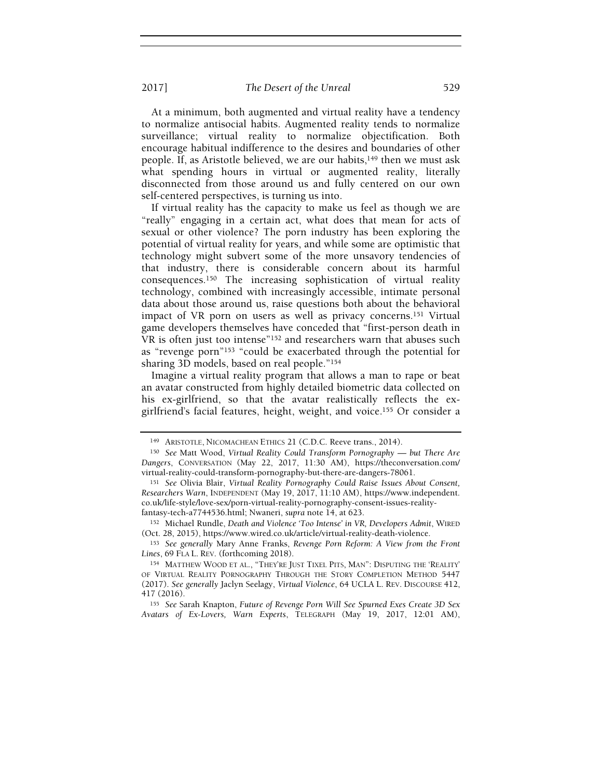At a minimum, both augmented and virtual reality have a tendency to normalize antisocial habits. Augmented reality tends to normalize surveillance; virtual reality to normalize objectification. Both encourage habitual indifference to the desires and boundaries of other people. If, as Aristotle believed, we are our habits, $149$  then we must ask what spending hours in virtual or augmented reality, literally disconnected from those around us and fully centered on our own self-centered perspectives, is turning us into.

If virtual reality has the capacity to make us feel as though we are "really" engaging in a certain act, what does that mean for acts of sexual or other violence? The porn industry has been exploring the potential of virtual reality for years, and while some are optimistic that technology might subvert some of the more unsavory tendencies of that industry, there is considerable concern about its harmful consequences.150 The increasing sophistication of virtual reality technology, combined with increasingly accessible, intimate personal data about those around us, raise questions both about the behavioral impact of VR porn on users as well as privacy concerns.151 Virtual game developers themselves have conceded that "first-person death in VR is often just too intense"152 and researchers warn that abuses such as "revenge porn"153 "could be exacerbated through the potential for sharing 3D models, based on real people."<sup>154</sup>

Imagine a virtual reality program that allows a man to rape or beat an avatar constructed from highly detailed biometric data collected on his ex-girlfriend, so that the avatar realistically reflects the exgirlfriend's facial features, height, weight, and voice.155 Or consider a

<sup>152</sup> Michael Rundle, Death and Violence 'Too Intense' in VR, Developers Admit, WIRED (Oct. 28, 2015), https://www.wired.co.uk/article/virtual-reality-death-violence.

<sup>153</sup> See generally Mary Anne Franks, Revenge Porn Reform: A View from the Front Lines, 69 FLA L. REV. (forthcoming 2018).

<sup>155</sup> See Sarah Knapton, Future of Revenge Porn Will See Spurned Exes Create 3D Sex Avatars of Ex-Lovers, Warn Experts, TELEGRAPH (May 19, 2017, 12:01 AM),

<sup>149</sup> ARISTOTLE, NICOMACHEAN ETHICS 21 (C.D.C. Reeve trans., 2014).

<sup>&</sup>lt;sup>150</sup> See Matt Wood, Virtual Reality Could Transform Pornography — but There Are Dangers, CONVERSATION (May 22, 2017, 11:30 AM), https://theconversation.com/ virtual-reality-could-transform-pornography-but-there-are-dangers-78061.

<sup>151</sup> See Olivia Blair, Virtual Reality Pornography Could Raise Issues About Consent, Researchers Warn, INDEPENDENT (May 19, 2017, 11:10 AM), https://www.independent. co.uk/life-style/love-sex/porn-virtual-reality-pornography-consent-issues-realityfantasy-tech-a7744536.html; Nwaneri, supra note 14, at 623.

<sup>154</sup> MATTHEW WOOD ET AL., "THEY'RE JUST TIXEL PITS, MAN": DISPUTING THE 'REALITY' OF VIRTUAL REALITY PORNOGRAPHY THROUGH THE STORY COMPLETION METHOD 5447 (2017). See generally Jaclyn Seelagy, Virtual Violence, 64 UCLA L. REV. DISCOURSE 412, 417 (2016).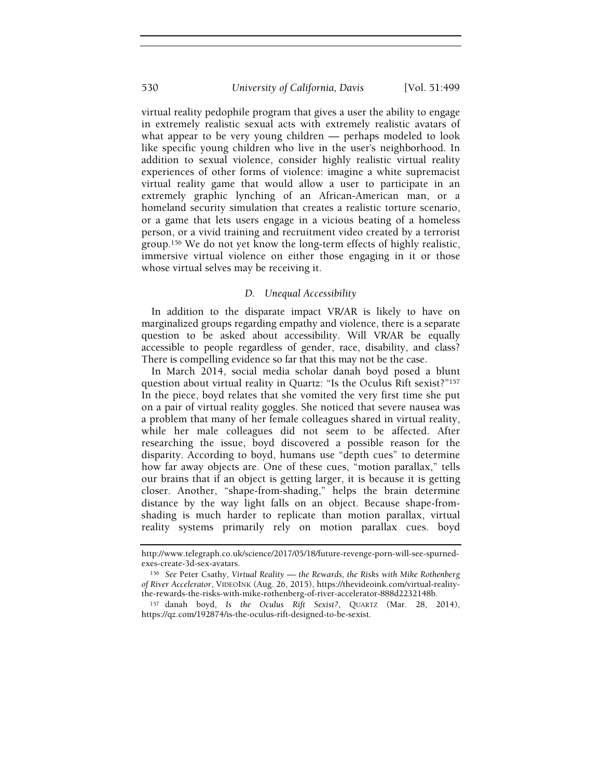virtual reality pedophile program that gives a user the ability to engage in extremely realistic sexual acts with extremely realistic avatars of what appear to be very young children — perhaps modeled to look like specific young children who live in the user's neighborhood. In addition to sexual violence, consider highly realistic virtual reality experiences of other forms of violence: imagine a white supremacist virtual reality game that would allow a user to participate in an extremely graphic lynching of an African-American man, or a homeland security simulation that creates a realistic torture scenario, or a game that lets users engage in a vicious beating of a homeless person, or a vivid training and recruitment video created by a terrorist group.156 We do not yet know the long-term effects of highly realistic, immersive virtual violence on either those engaging in it or those whose virtual selves may be receiving it.

## D. Unequal Accessibility

In addition to the disparate impact VR/AR is likely to have on marginalized groups regarding empathy and violence, there is a separate question to be asked about accessibility. Will VR/AR be equally accessible to people regardless of gender, race, disability, and class? There is compelling evidence so far that this may not be the case.

In March 2014, social media scholar danah boyd posed a blunt question about virtual reality in Quartz: "Is the Oculus Rift sexist?"<sup>157</sup> In the piece, boyd relates that she vomited the very first time she put on a pair of virtual reality goggles. She noticed that severe nausea was a problem that many of her female colleagues shared in virtual reality, while her male colleagues did not seem to be affected. After researching the issue, boyd discovered a possible reason for the disparity. According to boyd, humans use "depth cues" to determine how far away objects are. One of these cues, "motion parallax," tells our brains that if an object is getting larger, it is because it is getting closer. Another, "shape-from-shading," helps the brain determine distance by the way light falls on an object. Because shape-fromshading is much harder to replicate than motion parallax, virtual reality systems primarily rely on motion parallax cues. boyd

http://www.telegraph.co.uk/science/2017/05/18/future-revenge-porn-will-see-spurnedexes-create-3d-sex-avatars.

<sup>&</sup>lt;sup>156</sup> See Peter Csathy, Virtual Reality — the Rewards, the Risks with Mike Rothenberg of River Accelerator, VIDEOINK (Aug. 26, 2015), https://thevideoink.com/virtual-realitythe-rewards-the-risks-with-mike-rothenberg-of-river-accelerator-888d2232148b.

<sup>157</sup> danah boyd, Is the Oculus Rift Sexist?, QUARTZ (Mar. 28, 2014), https://qz.com/192874/is-the-oculus-rift-designed-to-be-sexist.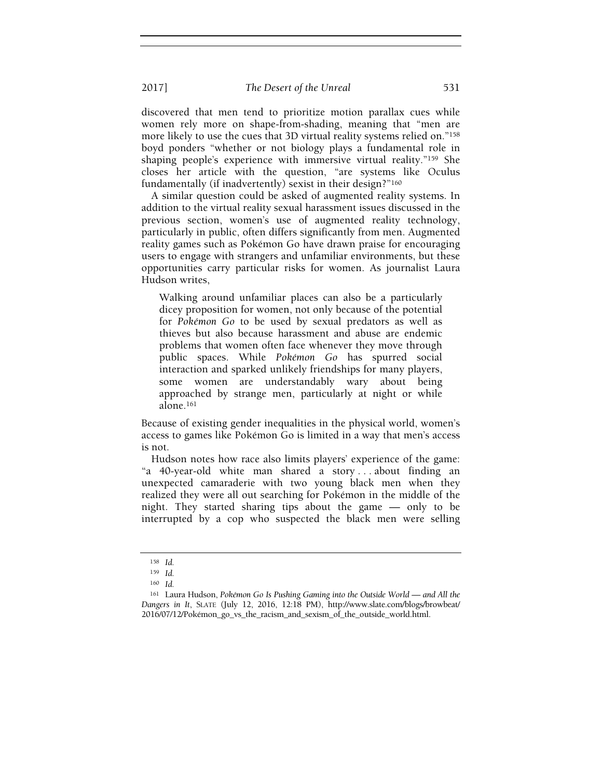discovered that men tend to prioritize motion parallax cues while women rely more on shape-from-shading, meaning that "men are more likely to use the cues that 3D virtual reality systems relied on."<sup>158</sup> boyd ponders "whether or not biology plays a fundamental role in shaping people's experience with immersive virtual reality."159 She closes her article with the question, "are systems like Oculus fundamentally (if inadvertently) sexist in their design?"<sup>160</sup>

A similar question could be asked of augmented reality systems. In addition to the virtual reality sexual harassment issues discussed in the previous section, women's use of augmented reality technology, particularly in public, often differs significantly from men. Augmented reality games such as Pokémon Go have drawn praise for encouraging users to engage with strangers and unfamiliar environments, but these opportunities carry particular risks for women. As journalist Laura Hudson writes,

Walking around unfamiliar places can also be a particularly dicey proposition for women, not only because of the potential for Pokémon Go to be used by sexual predators as well as thieves but also because harassment and abuse are endemic problems that women often face whenever they move through public spaces. While Pokémon Go has spurred social interaction and sparked unlikely friendships for many players, some women are understandably wary about being approached by strange men, particularly at night or while alone.<sup>161</sup>

Because of existing gender inequalities in the physical world, women's access to games like Pokémon Go is limited in a way that men's access is not.

Hudson notes how race also limits players' experience of the game: "a 40-year-old white man shared a story . . . about finding an unexpected camaraderie with two young black men when they realized they were all out searching for Pokémon in the middle of the night. They started sharing tips about the game — only to be interrupted by a cop who suspected the black men were selling

<sup>158</sup> Id.

<sup>159</sup> Id.

<sup>160</sup> Id.

<sup>161</sup> Laura Hudson, Pokémon Go Is Pushing Gaming into the Outside World — and All the Dangers in It, SLATE (July 12, 2016, 12:18 PM), http://www.slate.com/blogs/browbeat/ 2016/07/12/Pokémon\_go\_vs\_the\_racism\_and\_sexism\_of\_the\_outside\_world.html.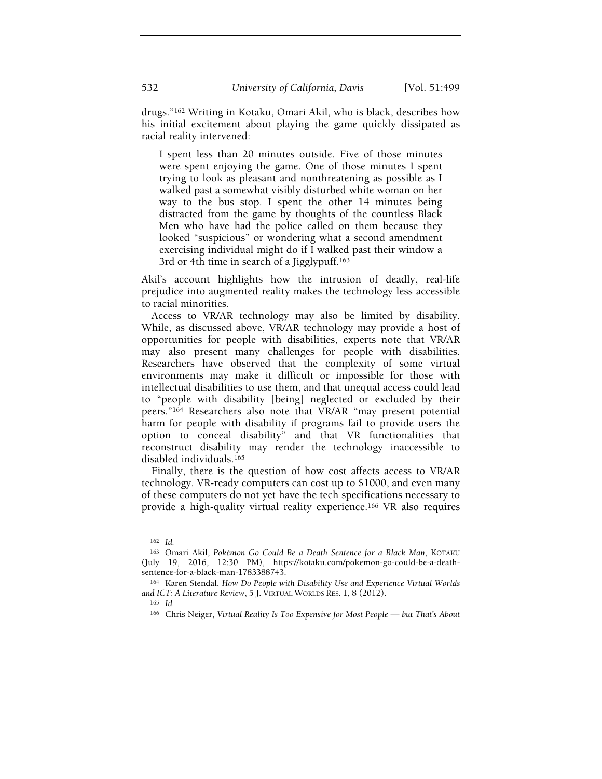drugs."162 Writing in Kotaku, Omari Akil, who is black, describes how his initial excitement about playing the game quickly dissipated as racial reality intervened:

I spent less than 20 minutes outside. Five of those minutes were spent enjoying the game. One of those minutes I spent trying to look as pleasant and nonthreatening as possible as I walked past a somewhat visibly disturbed white woman on her way to the bus stop. I spent the other 14 minutes being distracted from the game by thoughts of the countless Black Men who have had the police called on them because they looked "suspicious" or wondering what a second amendment exercising individual might do if I walked past their window a 3rd or 4th time in search of a Jigglypuff.<sup>163</sup>

Akil's account highlights how the intrusion of deadly, real-life prejudice into augmented reality makes the technology less accessible to racial minorities.

Access to VR/AR technology may also be limited by disability. While, as discussed above, VR/AR technology may provide a host of opportunities for people with disabilities, experts note that VR/AR may also present many challenges for people with disabilities. Researchers have observed that the complexity of some virtual environments may make it difficult or impossible for those with intellectual disabilities to use them, and that unequal access could lead to "people with disability [being] neglected or excluded by their peers."164 Researchers also note that VR/AR "may present potential harm for people with disability if programs fail to provide users the option to conceal disability" and that VR functionalities that reconstruct disability may render the technology inaccessible to disabled individuals.<sup>165</sup>

Finally, there is the question of how cost affects access to VR/AR technology. VR-ready computers can cost up to \$1000, and even many of these computers do not yet have the tech specifications necessary to provide a high-quality virtual reality experience.166 VR also requires

<sup>162</sup> Id.

<sup>163</sup> Omari Akil, Pokémon Go Could Be a Death Sentence for a Black Man, KOTAKU (July 19, 2016, 12:30 PM), https://kotaku.com/pokemon-go-could-be-a-deathsentence-for-a-black-man-1783388743.

<sup>164</sup> Karen Stendal, How Do People with Disability Use and Experience Virtual Worlds and ICT: A Literature Review, 5 J. VIRTUAL WORLDS RES. 1, 8 (2012).

 $165$  Id.

<sup>&</sup>lt;sup>166</sup> Chris Neiger, Virtual Reality Is Too Expensive for Most People — but That's About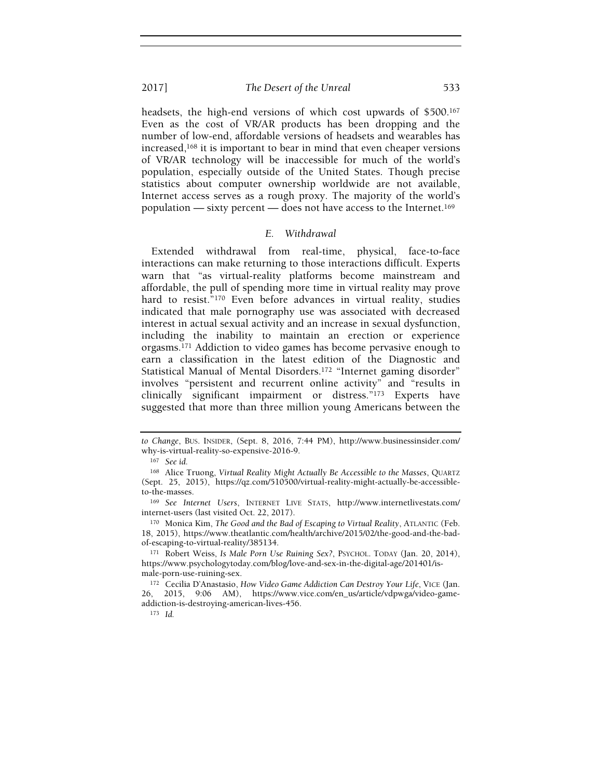headsets, the high-end versions of which cost upwards of \$500.<sup>167</sup> Even as the cost of VR/AR products has been dropping and the number of low-end, affordable versions of headsets and wearables has increased,168 it is important to bear in mind that even cheaper versions of VR/AR technology will be inaccessible for much of the world's population, especially outside of the United States. Though precise statistics about computer ownership worldwide are not available, Internet access serves as a rough proxy. The majority of the world's population — sixty percent — does not have access to the Internet.<sup>169</sup>

## E. Withdrawal

Extended withdrawal from real-time, physical, face-to-face interactions can make returning to those interactions difficult. Experts warn that "as virtual-reality platforms become mainstream and affordable, the pull of spending more time in virtual reality may prove hard to resist."<sup>170</sup> Even before advances in virtual reality, studies indicated that male pornography use was associated with decreased interest in actual sexual activity and an increase in sexual dysfunction, including the inability to maintain an erection or experience orgasms.171 Addiction to video games has become pervasive enough to earn a classification in the latest edition of the Diagnostic and Statistical Manual of Mental Disorders.172 "Internet gaming disorder" involves "persistent and recurrent online activity" and "results in clinically significant impairment or distress."173 Experts have suggested that more than three million young Americans between the

to Change, BUS. INSIDER, (Sept. 8, 2016, 7:44 PM), http://www.businessinsider.com/ why-is-virtual-reality-so-expensive-2016-9.

<sup>167</sup> See id.

<sup>168</sup> Alice Truong, Virtual Reality Might Actually Be Accessible to the Masses, QUARTZ (Sept. 25, 2015), https://qz.com/510500/virtual-reality-might-actually-be-accessibleto-the-masses.

<sup>169</sup> See Internet Users, INTERNET LIVE STATS, http://www.internetlivestats.com/ internet-users (last visited Oct. 22, 2017).

<sup>170</sup> Monica Kim, The Good and the Bad of Escaping to Virtual Reality, ATLANTIC (Feb. 18, 2015), https://www.theatlantic.com/health/archive/2015/02/the-good-and-the-badof-escaping-to-virtual-reality/385134.

<sup>171</sup> Robert Weiss, Is Male Porn Use Ruining Sex?, PSYCHOL. TODAY (Jan. 20, 2014), https://www.psychologytoday.com/blog/love-and-sex-in-the-digital-age/201401/ismale-porn-use-ruining-sex.

<sup>172</sup> Cecilia D'Anastasio, How Video Game Addiction Can Destroy Your Life, VICE (Jan. 26, 2015, 9:06 AM), https://www.vice.com/en\_us/article/vdpwga/video-gameaddiction-is-destroying-american-lives-456.

<sup>173</sup> Id.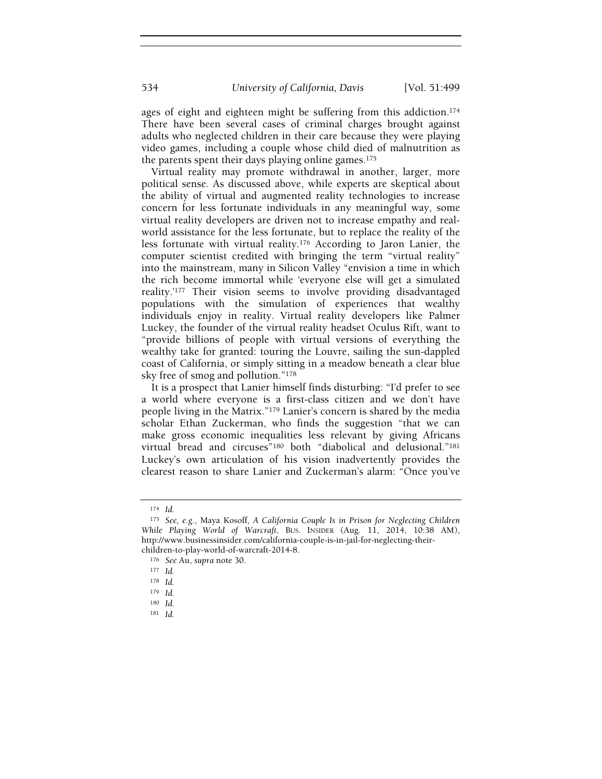ages of eight and eighteen might be suffering from this addiction.<sup>174</sup> There have been several cases of criminal charges brought against adults who neglected children in their care because they were playing video games, including a couple whose child died of malnutrition as the parents spent their days playing online games.<sup>175</sup>

Virtual reality may promote withdrawal in another, larger, more political sense. As discussed above, while experts are skeptical about the ability of virtual and augmented reality technologies to increase concern for less fortunate individuals in any meaningful way, some virtual reality developers are driven not to increase empathy and realworld assistance for the less fortunate, but to replace the reality of the less fortunate with virtual reality.176 According to Jaron Lanier, the computer scientist credited with bringing the term "virtual reality" into the mainstream, many in Silicon Valley "envision a time in which the rich become immortal while 'everyone else will get a simulated reality.'177 Their vision seems to involve providing disadvantaged populations with the simulation of experiences that wealthy individuals enjoy in reality. Virtual reality developers like Palmer Luckey, the founder of the virtual reality headset Oculus Rift, want to "provide billions of people with virtual versions of everything the wealthy take for granted: touring the Louvre, sailing the sun-dappled coast of California, or simply sitting in a meadow beneath a clear blue sky free of smog and pollution."<sup>178</sup>

It is a prospect that Lanier himself finds disturbing: "I'd prefer to see a world where everyone is a first-class citizen and we don't have people living in the Matrix."179 Lanier's concern is shared by the media scholar Ethan Zuckerman, who finds the suggestion "that we can make gross economic inequalities less relevant by giving Africans virtual bread and circuses"180 both "diabolical and delusional."<sup>181</sup> Luckey's own articulation of his vision inadvertently provides the clearest reason to share Lanier and Zuckerman's alarm: "Once you've

<sup>181</sup> Id.

<sup>174</sup> Id.

<sup>175</sup> See, e.g., Maya Kosoff, A California Couple Is in Prison for Neglecting Children While Playing World of Warcraft, BUS. INSIDER (Aug. 11, 2014, 10:38 AM), http://www.businessinsider.com/california-couple-is-in-jail-for-neglecting-theirchildren-to-play-world-of-warcraft-2014-8.

<sup>176</sup> See Au, supra note 30.

<sup>177</sup> Id.

<sup>178</sup> Id.

<sup>179</sup> Id.

 $180$  Id.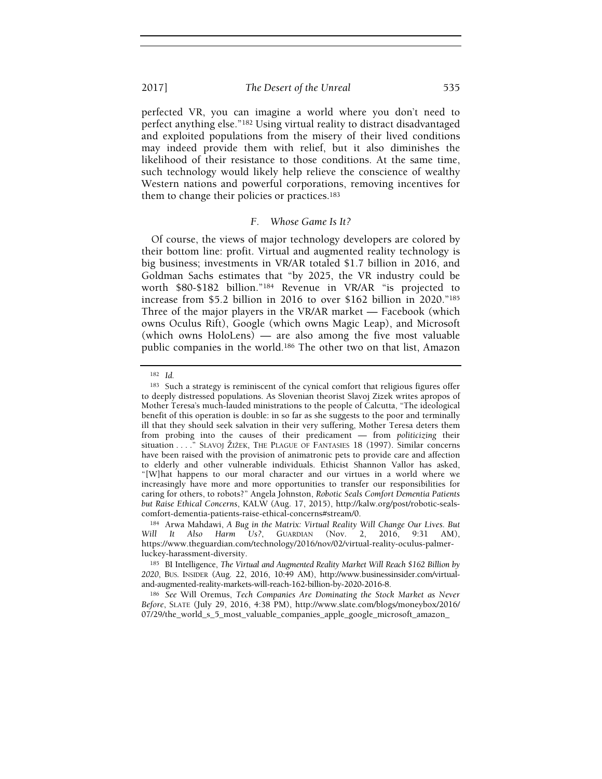perfected VR, you can imagine a world where you don't need to perfect anything else."182 Using virtual reality to distract disadvantaged and exploited populations from the misery of their lived conditions may indeed provide them with relief, but it also diminishes the likelihood of their resistance to those conditions. At the same time, such technology would likely help relieve the conscience of wealthy Western nations and powerful corporations, removing incentives for them to change their policies or practices.<sup>183</sup>

# F. Whose Game Is It?

Of course, the views of major technology developers are colored by their bottom line: profit. Virtual and augmented reality technology is big business; investments in VR/AR totaled \$1.7 billion in 2016, and Goldman Sachs estimates that "by 2025, the VR industry could be worth \$80-\$182 billion."184 Revenue in VR/AR "is projected to increase from \$5.2 billion in 2016 to over \$162 billion in 2020."<sup>185</sup> Three of the major players in the VR/AR market — Facebook (which owns Oculus Rift), Google (which owns Magic Leap), and Microsoft (which owns HoloLens) — are also among the five most valuable public companies in the world.186 The other two on that list, Amazon

<sup>182</sup> Id.

<sup>183</sup> Such a strategy is reminiscent of the cynical comfort that religious figures offer to deeply distressed populations. As Slovenian theorist Slavoj Zizek writes apropos of Mother Teresa's much-lauded ministrations to the people of Calcutta, "The ideological benefit of this operation is double: in so far as she suggests to the poor and terminally ill that they should seek salvation in their very suffering, Mother Teresa deters them from probing into the causes of their predicament — from politicizing their situation . . . ." SLAVOJ ŽIŽEK, THE PLAGUE OF FANTASIES 18 (1997). Similar concerns have been raised with the provision of animatronic pets to provide care and affection to elderly and other vulnerable individuals. Ethicist Shannon Vallor has asked, "[W]hat happens to our moral character and our virtues in a world where we increasingly have more and more opportunities to transfer our responsibilities for caring for others, to robots?" Angela Johnston, Robotic Seals Comfort Dementia Patients but Raise Ethical Concerns, KALW (Aug. 17, 2015), http://kalw.org/post/robotic-sealscomfort-dementia-patients-raise-ethical-concerns#stream/0.

<sup>184</sup> Arwa Mahdawi, A Bug in the Matrix: Virtual Reality Will Change Our Lives. But Will It Also Harm Us?, GUARDIAN (Nov. 2, 2016, 9:31 AM), https://www.theguardian.com/technology/2016/nov/02/virtual-reality-oculus-palmerluckey-harassment-diversity.

<sup>&</sup>lt;sup>185</sup> BI Intelligence, The Virtual and Augmented Reality Market Will Reach \$162 Billion by 2020, BUS. INSIDER (Aug. 22, 2016, 10:49 AM), http://www.businessinsider.com/virtualand-augmented-reality-markets-will-reach-162-billion-by-2020-2016-8.

<sup>186</sup> See Will Oremus, Tech Companies Are Dominating the Stock Market as Never Before, SLATE (July 29, 2016, 4:38 PM), http://www.slate.com/blogs/moneybox/2016/ 07/29/the\_world\_s\_5\_most\_valuable\_companies\_apple\_google\_microsoft\_amazon\_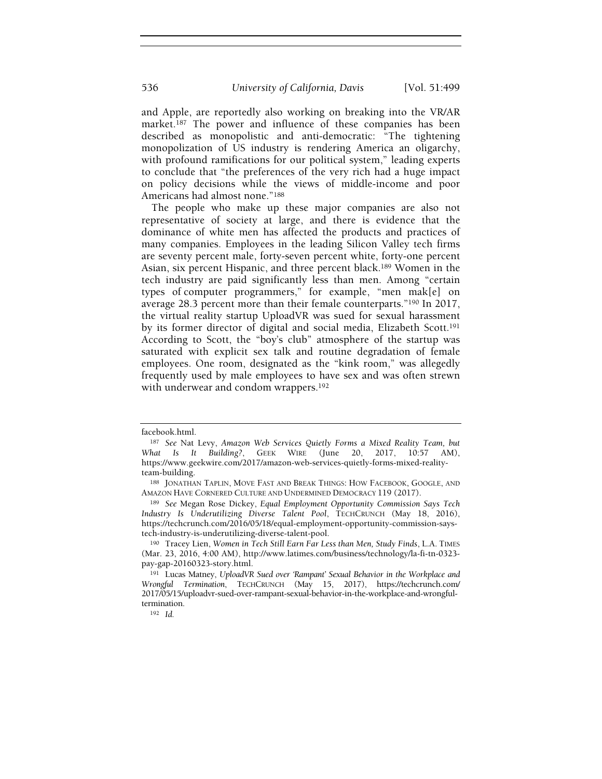and Apple, are reportedly also working on breaking into the VR/AR market.<sup>187</sup> The power and influence of these companies has been described as monopolistic and anti-democratic: "The tightening monopolization of US industry is rendering America an oligarchy, with profound ramifications for our political system," leading experts to conclude that "the preferences of the very rich had a huge impact on policy decisions while the views of middle-income and poor Americans had almost none."<sup>188</sup>

The people who make up these major companies are also not representative of society at large, and there is evidence that the dominance of white men has affected the products and practices of many companies. Employees in the leading Silicon Valley tech firms are seventy percent male, forty-seven percent white, forty-one percent Asian, six percent Hispanic, and three percent black.189 Women in the tech industry are paid significantly less than men. Among "certain types of computer programmers," for example, "men mak[e] on average 28.3 percent more than their female counterparts."190 In 2017, the virtual reality startup UploadVR was sued for sexual harassment by its former director of digital and social media, Elizabeth Scott.<sup>191</sup> According to Scott, the "boy's club" atmosphere of the startup was saturated with explicit sex talk and routine degradation of female employees. One room, designated as the "kink room," was allegedly frequently used by male employees to have sex and was often strewn with underwear and condom wrappers.<sup>192</sup>

facebook.html.

<sup>187</sup> See Nat Levy, Amazon Web Services Quietly Forms a Mixed Reality Team, but What Is It Building?, GEEK WIRE (June 20, 2017, 10:57 AM), https://www.geekwire.com/2017/amazon-web-services-quietly-forms-mixed-realityteam-building.

<sup>188</sup> JONATHAN TAPLIN, MOVE FAST AND BREAK THINGS: HOW FACEBOOK, GOOGLE, AND AMAZON HAVE CORNERED CULTURE AND UNDERMINED DEMOCRACY 119 (2017).

<sup>&</sup>lt;sup>189</sup> See Megan Rose Dickey, Equal Employment Opportunity Commission Says Tech Industry Is Underutilizing Diverse Talent Pool, TECHCRUNCH (May 18, 2016), https://techcrunch.com/2016/05/18/equal-employment-opportunity-commission-saystech-industry-is-underutilizing-diverse-talent-pool.

<sup>190</sup> Tracey Lien, Women in Tech Still Earn Far Less than Men, Study Finds, L.A. TIMES (Mar. 23, 2016, 4:00 AM), http://www.latimes.com/business/technology/la-fi-tn-0323 pay-gap-20160323-story.html.

<sup>191</sup> Lucas Matney, UploadVR Sued over 'Rampant' Sexual Behavior in the Workplace and Wrongful Termination, TECHCRUNCH (May 15, 2017), https://techcrunch.com/ 2017/05/15/uploadvr-sued-over-rampant-sexual-behavior-in-the-workplace-and-wrongfultermination.

<sup>192</sup> Id.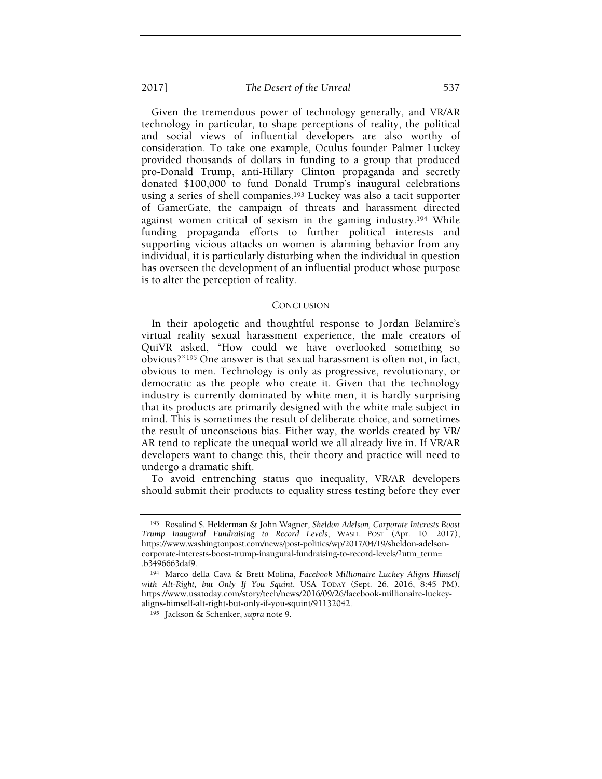Given the tremendous power of technology generally, and VR/AR technology in particular, to shape perceptions of reality, the political and social views of influential developers are also worthy of consideration. To take one example, Oculus founder Palmer Luckey provided thousands of dollars in funding to a group that produced pro-Donald Trump, anti-Hillary Clinton propaganda and secretly donated \$100,000 to fund Donald Trump's inaugural celebrations using a series of shell companies.193 Luckey was also a tacit supporter of GamerGate, the campaign of threats and harassment directed against women critical of sexism in the gaming industry.194 While funding propaganda efforts to further political interests and supporting vicious attacks on women is alarming behavior from any individual, it is particularly disturbing when the individual in question has overseen the development of an influential product whose purpose is to alter the perception of reality.

#### **CONCLUSION**

In their apologetic and thoughtful response to Jordan Belamire's virtual reality sexual harassment experience, the male creators of QuiVR asked, "How could we have overlooked something so obvious?"195 One answer is that sexual harassment is often not, in fact, obvious to men. Technology is only as progressive, revolutionary, or democratic as the people who create it. Given that the technology industry is currently dominated by white men, it is hardly surprising that its products are primarily designed with the white male subject in mind. This is sometimes the result of deliberate choice, and sometimes the result of unconscious bias. Either way, the worlds created by VR/ AR tend to replicate the unequal world we all already live in. If VR/AR developers want to change this, their theory and practice will need to undergo a dramatic shift.

To avoid entrenching status quo inequality, VR/AR developers should submit their products to equality stress testing before they ever

<sup>193</sup> Rosalind S. Helderman & John Wagner, Sheldon Adelson, Corporate Interests Boost Trump Inaugural Fundraising to Record Levels, WASH. POST (Apr. 10. 2017), https://www.washingtonpost.com/news/post-politics/wp/2017/04/19/sheldon-adelsoncorporate-interests-boost-trump-inaugural-fundraising-to-record-levels/?utm\_term= .b3496663daf9.

<sup>194</sup> Marco della Cava & Brett Molina, Facebook Millionaire Luckey Aligns Himself with Alt-Right, but Only If You Squint, USA TODAY (Sept. 26, 2016, 8:45 PM), https://www.usatoday.com/story/tech/news/2016/09/26/facebook-millionaire-luckeyaligns-himself-alt-right-but-only-if-you-squint/91132042.

<sup>195</sup> Jackson & Schenker, supra note 9.